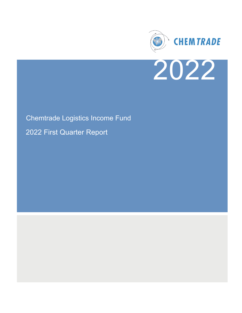



# Chemtrade Logistics Income Fund 2022 First Quarter Report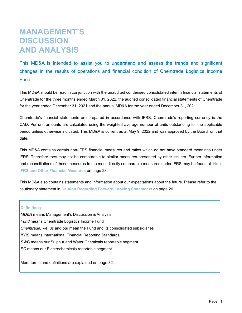# **MANAGEMENT'S DISCUSSION AND ANALYSIS**

This MD&A is intended to assist you to understand and assess the trends and significant changes in the results of operations and financial condition of Chemtrade Logistics Income Fund.

This MD&A should be read in conjunction with the unaudited condensed consolidated interim financial statements of Chemtrade for the three months ended March 31, 2022, the audited consolidated financial statements of Chemtrade for the year ended December 31, 2021 and the annual MD&A for the year ended December 31, 2021.

Chemtrade's financial statements are prepared in accordance with IFRS. Chemtrade's reporting currency is the CAD. Per unit amounts are calculated using the weighted average number of units outstanding for the applicable period unless otherwise indicated. This MD&A is current as at May 9, 2022 and was approved by the Board on that date.

This MD&A contains certain non-IFRS financial measures and ratios which do not have standard meanings under IFRS. Therefore they may not be comparable to similar measures presented by other issuers. Further information and reconciliations of these measures to the most directly comparable measures under IFRS may be found at **Non-IFRS and Other Financial Measures** on page [28.](#page-28-0)

This MD&A also contains statements and information about our expectations about the future. Please refer to the cautionary statement in **Caution Regarding Forward Looking Statements** on page [26](#page-26-0).

#### **Definitions**

*MD&A* means Management's Discussion & Analysis *Fund* means Chemtrade Logistics Income Fund *Chemtrade, we, us* and *ou*r mean the Fund and its consolidated subsidiaries *IFR*S means International Financial Reporting Standards *SWC* means our Sulphur and Water Chemicals reportable segment *EC* means our Electrochemicals reportable segment

More terms and definitions are explained on page [32](#page-32-0).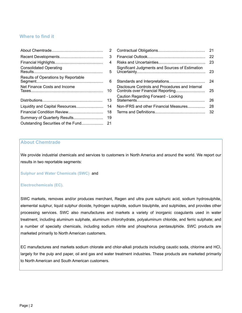#### **Where to find it**

|                                     | 3  |
|-------------------------------------|----|
|                                     | 4  |
| <b>Consolidated Operating</b>       | 5  |
| Results of Operations by Reportable | 6  |
| Net Finance Costs and Income        | 10 |
|                                     | 13 |
| Liquidity and Capital Resources     | 14 |
| Financial Condition Review          | 18 |
| Summary of Quarterly Results        | 19 |
| Outstanding Securities of the Fund  | 21 |

|                                     | 2  |                                                 |    |
|-------------------------------------|----|-------------------------------------------------|----|
|                                     | 3  |                                                 |    |
|                                     | 4  |                                                 |    |
| <b>Consolidated Operating</b>       | 5  | Significant Judgments and Sources of Estimation |    |
| Results of Operations by Reportable | 6  |                                                 |    |
| Net Finance Costs and Income        | 10 | Disclosure Controls and Procedures and Internal | 25 |
|                                     |    | Caution Regarding Forward - Looking             | 26 |
|                                     |    | Non-IFRS and other Financial Measures           | 28 |
|                                     |    |                                                 |    |
|                                     |    |                                                 |    |

#### **About Chemtrade**

We provide industrial chemicals and services to customers in North America and around the world. We report our results in two reportable segments:

**Sulphur and Water Chemicals (SWC)** and

#### **Electrochemicals (EC).**

SWC markets, removes and/or produces merchant, Regen and ultra pure sulphuric acid, sodium hydrosulphite, elemental sulphur, liquid sulphur dioxide, hydrogen sulphide, sodium bisulphite, and sulphides, and provides other processing services. SWC also manufactures and markets a variety of inorganic coagulants used in water treatment, including aluminum sulphate, aluminum chlorohydrate, polyaluminum chloride, and ferric sulphate; and a number of specialty chemicals, including sodium nitrite and phosphorus pentasulphide. SWC products are marketed primarily to North American customers.

EC manufactures and markets sodium chlorate and chlor-alkali products including caustic soda, chlorine and HCl, largely for the pulp and paper, oil and gas and water treatment industries. These products are marketed primarily to North American and South American customers.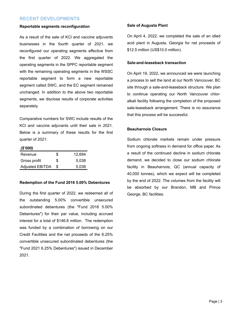#### <span id="page-3-0"></span>**RECENT DEVELOPMENTS**

#### **Reportable segments reconfiguration**

As a result of the sale of KCl and vaccine adjuvants businesses in the fourth quarter of 2021, we reconfigured our operating segments effective from the first quarter of 2022. We aggregated the operating segments in the SPPC reportable segment with the remaining operating segments in the WSSC reportable segment to form a new reportable segment called SWC, and the EC segment remained unchanged. In addition to the above two reportable segments, we disclose results of corporate activities separately.

Comparative numbers for SWC include results of the KCl and vaccine adjuvants until their sale in 2021. Below is a summary of these results for the first quarter of 2021:

#### *(\$'000)*

| Revenue                | \$ | 12.694 |
|------------------------|----|--------|
| Gross profit           | S  | 5.038  |
| <b>Adjusted EBITDA</b> |    | 5,038  |

#### **Redemption of the Fund 2016 5.00% Debentures**

During the first quarter of 2022, we redeemed all of the outstanding 5.00% convertible unsecured subordinated debentures (the "Fund 2016 5.00% Debentures") for their par value, including accrued interest for a total of \$146.6 million. The redemption was funded by a combination of borrowing on our Credit Facilities and the net proceeds of the 6.25% convertible unsecured subordinated debentures (the "Fund 2021 6.25% Debentures") issued in December 2021.

#### **Sale of Augusta Plant**

On April 4, 2022, we completed the sale of an idled acid plant in Augusta, Georgia for net proceeds of \$12.5 million (US\$10.0 million).

#### **Sale-and-leaseback transaction**

On April 19, 2022, we announced we were launching a process to sell the land at our North Vancouver, BC site through a sale-and-leaseback structure. We plan to continue operating our North Vancouver chloralkali facility following the completion of the proposed sale-leaseback arrangement. There is no assurance that this process will be successful.

#### **Beauharnois Closure**

Sodium chlorate markets remain under pressure from ongoing softness in demand for office paper. As a result of the continued decline in sodium chlorate demand, we decided to close our sodium chlorate facility in Beauharnois, QC (annual capacity of 40,000 tonnes), which we expect will be completed by the end of 2022. The volumes from the facility will be absorbed by our Brandon, MB and Prince George, BC facilities.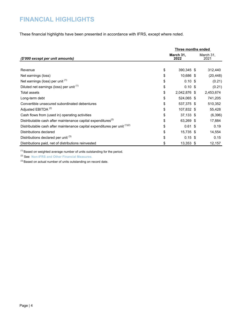### <span id="page-4-0"></span>**FINANCIAL HIGHLIGHTS**

These financial highlights have been presented in accordance with IFRS, except where noted.

|                                                                           |    | Three months ended |  |                   |
|---------------------------------------------------------------------------|----|--------------------|--|-------------------|
| (\$'000 except per unit amounts)                                          |    | March 31,<br>2022  |  | March 31,<br>2021 |
|                                                                           |    |                    |  |                   |
| Revenue                                                                   | \$ | 390,345 \$         |  | 312,440           |
| Net earnings (loss)                                                       | \$ | 10,686 \$          |  | (20, 448)         |
| Net earnings (loss) per unit <sup>(1)</sup>                               | \$ | $0.10$ \$          |  | (0.21)            |
| Diluted net earnings (loss) per unit (1)                                  | \$ | $0.10$ \$          |  | (0.21)            |
| <b>Total assets</b>                                                       | \$ | 2,042,876 \$       |  | 2,453,674         |
| Long-term debt                                                            | \$ | 524,065 \$         |  | 741,205           |
| Convertible unsecured subordinated debentures                             | \$ | 537,375 \$         |  | 510,352           |
| Adjusted EBITDA <sup>(2)</sup>                                            | \$ | 107,832 \$         |  | 55,428            |
| Cash flows from (used in) operating activities                            | \$ | 37,133 \$          |  | (6,396)           |
| Distributable cash after maintenance capital expenditures <sup>(2)</sup>  | \$ | 63,269 \$          |  | 17,884            |
| Distributable cash after maintenance capital expenditures per unit (1)(2) | \$ | $0.61$ \$          |  | 0.19              |
| Distributions declared                                                    | \$ | 15,735 \$          |  | 14,554            |
| Distributions declared per unit (3)                                       | \$ | $0.15$ \$          |  | 0.15              |
| Distributions paid, net of distributions reinvested                       | \$ | 13,353 \$          |  | 12,157            |

 $(1)$  Based on weighted average number of units outstanding for the period.

(2) See **Non-IFRS and Other Financial Measures**.

(3) Based on actual number of units outstanding on record date.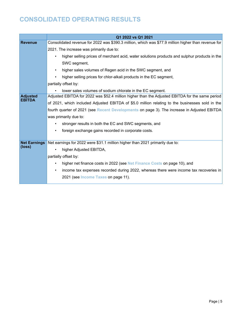### <span id="page-5-0"></span>**CONSOLIDATED OPERATING RESULTS**

|                               | Q1 2022 vs Q1 2021                                                                                        |
|-------------------------------|-----------------------------------------------------------------------------------------------------------|
| <b>Revenue</b>                | Consolidated revenue for 2022 was \$390.3 million, which was \$77.9 million higher than revenue for       |
|                               | 2021. The increase was primarily due to:                                                                  |
|                               | higher selling prices of merchant acid, water solutions products and sulphur products in the<br>$\bullet$ |
|                               | SWC segment,                                                                                              |
|                               | higher sales volumes of Regen acid in the SWC segment, and<br>$\bullet$                                   |
|                               | higher selling prices for chlor-alkali products in the EC segment,<br>$\bullet$                           |
|                               | partially offset by:                                                                                      |
|                               | lower sales volumes of sodium chlorate in the EC segment.<br>$\bullet$                                    |
| <b>Adjusted</b><br>EBITDA     | Adjusted EBITDA for 2022 was \$52.4 million higher than the Adjusted EBITDA for the same period           |
|                               | of 2021, which included Adjusted EBITDA of \$5.0 million relating to the businesses sold in the           |
|                               | fourth quarter of 2021 (see Recent Developments on page 3). The increase in Adjusted EBITDA               |
|                               | was primarily due to:                                                                                     |
|                               | stronger results in both the EC and SWC segments, and<br>٠                                                |
|                               | foreign exchange gains recorded in corporate costs.<br>$\bullet$                                          |
|                               |                                                                                                           |
| <b>Net Earnings</b><br>(loss) | Net earnings for 2022 were \$31.1 million higher than 2021 primarily due to:                              |
|                               | higher Adjusted EBITDA,                                                                                   |
|                               | partially offset by:                                                                                      |
|                               | higher net finance costs in 2022 (see Net Finance Costs on page 10), and<br>$\bullet$                     |
|                               | income tax expenses recorded during 2022, whereas there were income tax recoveries in<br>$\bullet$        |
|                               | 2021 (see Income Taxes on page 11).                                                                       |
|                               |                                                                                                           |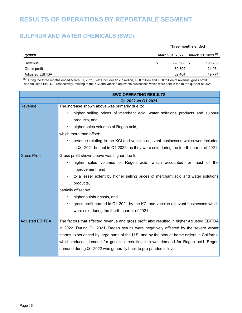### <span id="page-6-0"></span>**RESULTS OF OPERATIONS BY REPORTABLE SEGMENT**

### **SULPHUR AND WATER CHEMICALS (SWC)**

|                 | Three months ended |                |                               |
|-----------------|--------------------|----------------|-------------------------------|
| (\$'000)        |                    | March 31, 2022 | March 31, 2021 <sup>(1)</sup> |
| Revenue         | \$.                | 228.988 \$     | 190,753                       |
| Gross profit    |                    | 39,302         | 21,034                        |
| Adjusted EBITDA |                    | 62.464         | 49.774                        |

(1) During the three months ended March 31, 2021, SWC includes \$12.7 million, \$5.0 million and \$5.0 million of revenue, gross profit and Adjusted EBITDA, respectively, relating to the KCl and vaccine adjuvants businesses which were sold in the fourth quarter of 2021.

|                        | <b>SWC OPERATING RESULTS</b>                                                               |
|------------------------|--------------------------------------------------------------------------------------------|
|                        | Q1 2022 vs Q1 2021                                                                         |
| Revenue                | The increase shown above was primarily due to:                                             |
|                        | higher selling prices of merchant acid, water solutions products and sulphur               |
|                        | products, and                                                                              |
|                        | higher sales volumes of Regen acid,                                                        |
|                        | which more than offset:                                                                    |
|                        | revenue relating to the KCI and vaccine adjuvant businesses which was included             |
|                        | in Q1 2021 but not in Q1 2022, as they were sold during the fourth quarter of 2021.        |
| <b>Gross Profit</b>    | Gross profit shown above was higher due to:                                                |
|                        | higher sales volumes of Regen acid, which accounted for most of the                        |
|                        | improvement, and                                                                           |
|                        | to a lesser extent by higher selling prices of merchant acid and water solutions           |
|                        | products,                                                                                  |
|                        | partially offset by:                                                                       |
|                        | higher sulphur costs, and                                                                  |
|                        | gross profit earned in Q1 2021 by the KCI and vaccine adjuvant businesses which            |
|                        | were sold during the fourth quarter of 2021.                                               |
| <b>Adjusted EBITDA</b> | The factors that affected revenue and gross profit also resulted in higher Adjusted EBITDA |
|                        | in 2022. During Q1 2021, Regen results were negatively affected by the severe winter       |
|                        | storms experienced by large parts of the U.S. and by the stay-at-home orders in California |
|                        | which reduced demand for gasoline, resulting in lower demand for Regen acid. Regen         |
|                        | demand during Q1 2022 was generally back to pre-pandemic levels.                           |
|                        |                                                                                            |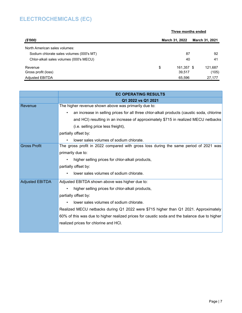### **ELECTROCHEMICALS (EC)**

|                                          | Three months ended |                       |  |                       |
|------------------------------------------|--------------------|-----------------------|--|-----------------------|
| (\$'000)                                 |                    | <b>March 31, 2022</b> |  | <b>March 31, 2021</b> |
| North American sales volumes:            |                    |                       |  |                       |
| Sodium chlorate sales volumes (000's MT) |                    | 87                    |  | 92                    |
| Chlor-alkali sales volumes (000's MECU)  |                    | 40                    |  | 41                    |
| Revenue                                  | \$                 | 161,357 \$            |  | 121,687               |
| Gross profit (loss)                      |                    | 39,517                |  | (105)                 |
| <b>Adjusted EBITDA</b>                   |                    | 65.596                |  | 27.177                |

|                        | <b>EC OPERATING RESULTS</b>                                                                            |
|------------------------|--------------------------------------------------------------------------------------------------------|
|                        | Q1 2022 vs Q1 2021                                                                                     |
| Revenue                | The higher revenue shown above was primarily due to:                                                   |
|                        | an increase in selling prices for all three chlor-alkali products (caustic soda, chlorine<br>$\bullet$ |
|                        | and HCl) resulting in an increase of approximately \$715 in realized MECU netbacks                     |
|                        | (i.e. selling price less freight),                                                                     |
|                        | partially offset by:                                                                                   |
|                        | lower sales volumes of sodium chlorate.                                                                |
| <b>Gross Profit</b>    | The gross profit in 2022 compared with gross loss during the same period of 2021 was                   |
|                        | primarily due to:                                                                                      |
|                        | higher selling prices for chlor-alkali products,                                                       |
|                        | partially offset by:                                                                                   |
|                        | lower sales volumes of sodium chlorate.                                                                |
| <b>Adjusted EBITDA</b> | Adjusted EBITDA shown above was higher due to:                                                         |
|                        | higher selling prices for chlor-alkali products,                                                       |
|                        | partially offset by:                                                                                   |
|                        | lower sales volumes of sodium chlorate.<br>$\bullet$                                                   |
|                        | Realized MECU netbacks during Q1 2022 were \$715 higher than Q1 2021. Approximately                    |
|                        | 60% of this was due to higher realized prices for caustic soda and the balance due to higher           |
|                        | realized prices for chlorine and HCI.                                                                  |
|                        |                                                                                                        |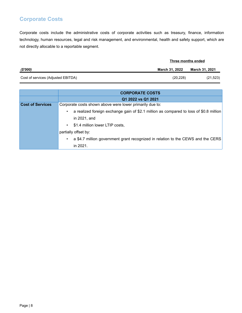### **Corporate Costs**

Corporate costs include the administrative costs of corporate activities such as treasury, finance, information technology, human resources, legal and risk management, and environmental, health and safety support, which are not directly allocable to a reportable segment.

|                                    | Three months ended    |                       |
|------------------------------------|-----------------------|-----------------------|
| (\$'000)                           | <b>March 31, 2022</b> | <b>March 31, 2021</b> |
| Cost of services (Adjusted EBITDA) | (20, 228)             | (21, 523)             |

|                         | <b>CORPORATE COSTS</b>                                                                 |
|-------------------------|----------------------------------------------------------------------------------------|
|                         | Q1 2022 vs Q1 2021                                                                     |
| <b>Cost of Services</b> | Corporate costs shown above were lower primarily due to:                               |
|                         | a realized foreign exchange gain of \$2.1 million as compared to loss of \$0.8 million |
|                         | in 2021, and                                                                           |
|                         | \$1.4 million lower LTIP costs,<br>$\bullet$                                           |
|                         | partially offset by:                                                                   |
|                         | a \$4.7 million government grant recognized in relation to the CEWS and the CERS       |
|                         | in 2021.                                                                               |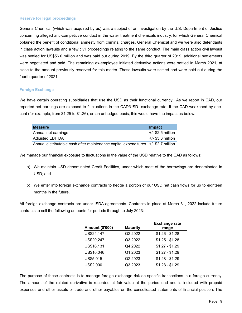#### **Reserve for legal proceedings**

General Chemical (which was acquired by us) was a subject of an investigation by the U.S. Department of Justice concerning alleged anti-competitive conduct in the water treatment chemicals industry, for which General Chemical obtained the benefit of conditional amnesty from criminal charges. General Chemical and we were also defendants in class action lawsuits and a few civil proceedings relating to the same conduct. The main class action civil lawsuit was settled for US\$56.0 million and was paid out during 2019. By the third quarter of 2019, additional settlements were negotiated and paid. The remaining ex-employee initiated derivative actions were settled in March 2021, at close to the amount previously reserved for this matter. These lawsuits were settled and were paid out during the fourth quarter of 2021.

#### **Foreign Exchange**

We have certain operating subsidiaries that use the USD as their functional currency. As we report in CAD, our reported net earnings are exposed to fluctuations in the CAD/USD exchange rate. If the CAD weakened by onecent (for example, from \$1.25 to \$1.26), on an unhedged basis, this would have the impact as below:

| <b>Measure</b>                                                                       | Impact              |
|--------------------------------------------------------------------------------------|---------------------|
| Annual net earnings                                                                  | $+/-$ \$2.5 million |
| <b>Adjusted EBITDA</b>                                                               | $+/-$ \$3.6 million |
| Annual distributable cash after maintenance capital expenditures   +/- \$2.7 million |                     |

We manage our financial exposure to fluctuations in the value of the USD relative to the CAD as follows:

- a) We maintain USD denominated Credit Facilities, under which most of the borrowings are denominated in USD; and
- b) We enter into foreign exchange contracts to hedge a portion of our USD net cash flows for up to eighteen months in the future.

All foreign exchange contracts are under ISDA agreements. Contracts in place at March 31, 2022 include future contracts to sell the following amounts for periods through to July 2023:

| <b>Amount (\$'000)</b> | <b>Maturity</b>     | <b>Exchange rate</b><br>range |
|------------------------|---------------------|-------------------------------|
| US\$24,147             | Q <sub>2</sub> 2022 | $$1.26 - $1.28$               |
| US\$20,247             | Q3 2022             | $$1.25 - $1.28$               |
| US\$16,131             | Q4 2022             | $$1.27 - $1.29$               |
| US\$10,046             | Q1 2023             | $$1.27 - $1.29$               |
| US\$5,015              | Q <sub>2</sub> 2023 | $$1.28 - $1.29$               |
| US\$2,000              | Q3 2023             | $$1.28 - $1.29$               |

The purpose of these contracts is to manage foreign exchange risk on specific transactions in a foreign currency. The amount of the related derivative is recorded at fair value at the period end and is included with prepaid expenses and other assets or trade and other payables on the consolidated statements of financial position. The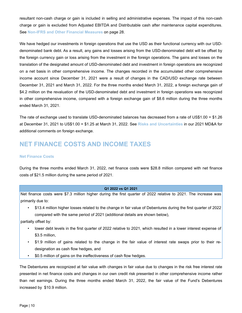<span id="page-10-0"></span>resultant non-cash charge or gain is included in selling and administrative expenses. The impact of this non-cash charge or gain is excluded from Adjusted EBITDA and Distributable cash after maintenance capital expenditures. See **Non-IFRS and Other Financial Measures** on page [28](#page-28-0).

We have hedged our investments in foreign operations that use the USD as their functional currency with our USDdenominated bank debt. As a result, any gains and losses arising from the USD-denominated debt will be offset by the foreign currency gain or loss arising from the investment in the foreign operations. The gains and losses on the translation of the designated amount of USD-denominated debt and investment in foreign operations are recognized on a net basis in other comprehensive income. The changes recorded in the accumulated other comprehensive income account since December 31, 2021 were a result of changes in the CAD/USD exchange rate between December 31, 2021 and March 31, 2022. For the three months ended March 31, 2022, a foreign exchange gain of \$4.2 million on the revaluation of the USD-denominated debt and investment in foreign operations was recognized in other comprehensive income, compared with a foreign exchange gain of \$8.6 million during the three months ended March 31, 2021.

The rate of exchange used to translate USD-denominated balances has decreased from a rate of US\$1.00 = \$1.26 at December 31, 2021 to US\$1.00 = \$1.25 at March 31, 2022. See **Risks and Uncertainties** in our 2021 MD&A for additional comments on foreign exchange.

### **NET FINANCE COSTS AND INCOME TAXES**

#### **Net Finance Costs**

During the three months ended March 31, 2022, net finance costs were \$28.8 million compared with net finance costs of \$21.5 million during the same period of 2021.

#### **Q1 2022 vs Q1 2021**

Net finance costs were \$7.3 million higher during the first quarter of 2022 relative to 2021. The increase was primarily due to:

• \$13.4 million higher losses related to the change in fair value of Debentures during the first quarter of 2022 compared with the same period of 2021 (additional details are shown below),

partially offset by:

- lower debt levels in the first quarter of 2022 relative to 2021, which resulted in a lower interest expense of \$3.5 million,
- \$1.9 million of gains related to the change in the fair value of interest rate swaps prior to their redesignation as cash flow hedges, and
- \$0.5 million of gains on the ineffectiveness of cash flow hedges.

The Debentures are recognized at fair value with changes in fair value due to changes in the risk free interest rate presented in net finance costs and changes in our own credit risk presented in other comprehensive income rather than net earnings. During the three months ended March 31, 2022, the fair value of the Fund's Debentures increased by \$10.9 million.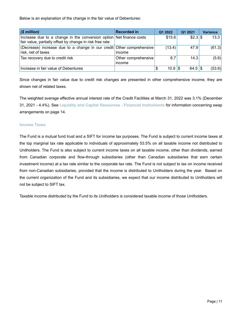<span id="page-11-0"></span>Below is an explanation of the change in the fair value of Debentures:

| $(\$$ million)                                                                                                                  | <b>Recorded in</b>            | Q1 2022          | Q1 2021    | <b>Variance</b> |
|---------------------------------------------------------------------------------------------------------------------------------|-------------------------------|------------------|------------|-----------------|
| Increase due to a change in the conversion option Net finance costs<br>fair value, partially offset by change in risk free rate |                               | \$15.6           | $$2.3$ \$  | 13.3            |
| (Decrease) increase due to a change in our credit Other comprehensive<br>risk, net of taxes                                     | income                        | (13.4)           | 47.9       | (61.3)          |
| Tax recovery due to credit risk                                                                                                 | Other comprehensive<br>income | 8.7              | 14.3       | (5.6)           |
| Increase in fair value of Debentures                                                                                            |                               | $10.9$ \\$<br>\$ | $64.5$ \\$ | (53.6)          |

Since changes in fair value due to credit risk changes are presented in other comprehensive income, they are shown net of related taxes.

The weighted average effective annual interest rate of the Credit Facilities at March 31, 2022 was 3.1% (December 31, 2021 - 4.4%). See **Liquidity and Capital Resources - Financial Instruments** for information concerning swap arrangements on page [14.](#page-14-0)

#### **Income Taxes**

The Fund is a mutual fund trust and a SIFT for income tax purposes. The Fund is subject to current income taxes at the top marginal tax rate applicable to individuals of approximately 53.5% on all taxable income not distributed to Unitholders. The Fund is also subject to current income taxes on all taxable income, other than dividends, earned from Canadian corporate and flow-through subsidiaries (other than Canadian subsidiaries that earn certain investment income) at a tax rate similar to the corporate tax rate. The Fund is not subject to tax on income received from non-Canadian subsidiaries, provided that the income is distributed to Unitholders during the year. Based on the current organization of the Fund and its subsidiaries, we expect that our income distributed to Unitholders will not be subject to SIFT tax.

Taxable income distributed by the Fund to its Unitholders is considered taxable income of those Unitholders.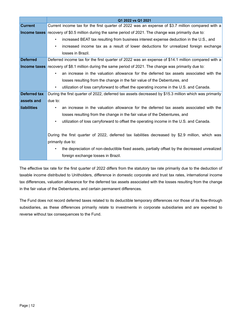|                    | Q1 2022 vs Q1 2021                                                                                             |
|--------------------|----------------------------------------------------------------------------------------------------------------|
| <b>Current</b>     | Current income tax for the first quarter of 2022 was an expense of \$3.7 million compared with a               |
|                    | <b>Income taxes</b> recovery of \$0.5 million during the same period of 2021. The change was primarily due to: |
|                    | increased BEAT tax resulting from business interest expense deduction in the U.S., and<br>$\bullet$            |
|                    | increased income tax as a result of lower deductions for unrealized foreign exchange<br>$\bullet$              |
|                    | losses in Brazil.                                                                                              |
| <b>Deferred</b>    | Deferred income tax for the first quarter of 2022 was an expense of \$14.1 million compared with a             |
|                    | <b>Income taxes</b> recovery of \$8.1 million during the same period of 2021. The change was primarily due to: |
|                    | an increase in the valuation allowance for the deferred tax assets associated with the                         |
|                    | losses resulting from the change in the fair value of the Debentures, and                                      |
|                    | utilization of loss carryforward to offset the operating income in the U.S. and Canada.<br>$\bullet$           |
| Deferred tax       | During the first quarter of 2022, deferred tax assets decreased by \$15.3 million which was primarily          |
| assets and         | due to:                                                                                                        |
| <b>liabilities</b> | an increase in the valuation allowance for the deferred tax assets associated with the<br>$\bullet$            |
|                    | losses resulting from the change in the fair value of the Debentures, and                                      |
|                    | utilization of loss carryforward to offset the operating income in the U.S. and Canada.<br>$\bullet$           |
|                    |                                                                                                                |
|                    | During the first quarter of 2022, deferred tax liabilities decreased by \$2.9 million, which was               |
|                    | primarily due to:                                                                                              |
|                    | the depreciation of non-deductible fixed assets, partially offset by the decreased unrealized<br>$\bullet$     |
|                    | foreign exchange losses in Brazil.                                                                             |

The effective tax rate for the first quarter of 2022 differs from the statutory tax rate primarily due to the deduction of taxable income distributed to Unitholders, difference in domestic corporate and trust tax rates, international income tax differences, valuation allowance for the deferred tax assets associated with the losses resulting from the change in the fair value of the Debentures, and certain permanent differences.

The Fund does not record deferred taxes related to its deductible temporary differences nor those of its flow-through subsidiaries, as these differences primarily relate to investments in corporate subsidiaries and are expected to reverse without tax consequences to the Fund.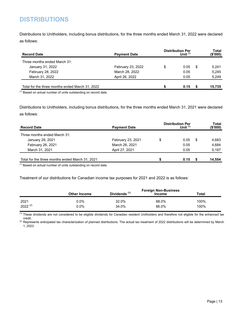### <span id="page-13-0"></span>**DISTRIBUTIONS**

Distributions to Unitholders, including bonus distributions, for the three months ended March 31, 2022 were declared as follows:

| <b>Record Date</b>                              | <b>Payment Date</b> | <b>Distribution Per</b> | <b>Total</b><br>(\$'000) |     |        |
|-------------------------------------------------|---------------------|-------------------------|--------------------------|-----|--------|
| Three months ended March 31:                    |                     |                         |                          |     |        |
| January 31, 2022                                | February 23, 2022   | \$                      | 0.05                     | -SS | 5.241  |
| February 28, 2022                               | March 28, 2022      |                         | 0.05                     |     | 5.245  |
| March 31, 2022                                  | April 26, 2022      |                         | 0.05                     |     | 5.249  |
| Total for the three months ended March 31, 2022 |                     |                         | 0.15                     |     | 15.735 |

 $<sup>(1)</sup>$  Based on actual number of units outstanding on record date.</sup>

Distributions to Unitholders, including bonus distributions, for the three months ended March 31, 2021 were declared as follows:

| <b>Payment Date</b> | <b>Distribution Per</b> |      | Total<br>(\$'000) |        |
|---------------------|-------------------------|------|-------------------|--------|
|                     |                         |      |                   |        |
| February 23, 2021   | \$                      | 0.05 | S.                | 4,683  |
| March 26, 2021      |                         | 0.05 |                   | 4,684  |
| April 27, 2021      |                         | 0.05 |                   | 5,187  |
|                     |                         | 0.15 |                   | 14,554 |
|                     |                         |      | Unit $(1)$        |        |

(1) Based on actual number of units outstanding on record date.

Treatment of our distributions for Canadian income tax purposes for 2021 and 2022 is as follows:

|              |                     |                          | <b>Foreign Non-Business</b> |       |
|--------------|---------------------|--------------------------|-----------------------------|-------|
|              | <b>Other Income</b> | Dividends <sup>(1)</sup> | <b>Income</b>               | Total |
| 2021         | 0.0%                | 32.0%                    | 68.0%                       | 100%  |
| $2022^{(2)}$ | 0.0%                | 34.0%                    | 66.0%                       | 100%  |

 $\frac{(1)}{(1)}$  These dividends are not considered to be eligible dividends for Canadian resident Unitholders and therefore not eligible for the enhanced tax credit.

(2) Represents anticipated tax characterization of planned distributions. The actual tax treatment of 2022 distributions will be determined by March 1, 2023.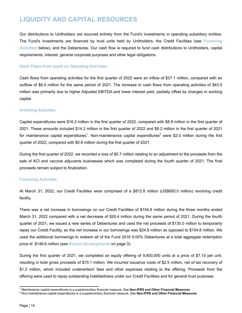### <span id="page-14-0"></span>**LIQUIDITY AND CAPITAL RESOURCES**

Our distributions to Unitholders are sourced entirely from the Fund's investments in operating subsidiary entities. The Fund's investments are financed by trust units held by Unitholders, the Credit Facilities (see **Financing Activities** below), and the Debentures. Our cash flow is required to fund cash distributions to Unitholders, capital requirements, interest, general corporate purposes and other legal obligations.

#### **Cash Flows from (used in) Operating Activities**

Cash flows from operating activities for the first quarter of 2022 were an inflow of \$37.1 million, compared with an outflow of \$6.4 million for the same period of 2021. The increase in cash flows from operating activities of \$43.5 million was primarily due to higher Adjusted EBITDA and lower interest paid, partially offset by changes in working capital.

#### **Investing Activities**

Capital expenditures were \$16.2 million in the first quarter of 2022, compared with \$8.8 million in the first quarter of 2021. These amounts included \$14.2 million in the first quarter of 2022 and \$8.2 million in the first quarter of 2021 for maintenance capital expenditures<sup>1</sup>. Non-maintenance capital expenditures<sup>2</sup> were \$2.0 million during the first quarter of 2022, compared with \$0.6 million during the first quarter of 2021.

During the first quarter of 2022, we recorded a loss of \$0.7 million relating to an adjustment to the proceeds from the sale of KCl and vaccine adjuvants businesses which was completed during the fourth quarter of 2021. The final proceeds remain subject to finalization.

#### **Financing Activities**

At March 31, 2022, our Credit Facilities were comprised of a \$812.8 million (US\$650.0 million) revolving credit facility.

There was a net increase in borrowings on our Credit Facilities of \$154.8 million during the three months ended March 31, 2022 compared with a net decrease of \$26.4 million during the same period of 2021. During the fourth quarter of 2021, we issued a new series of Debentures and used the net proceeds of \$130.0 million to temporarily repay our Credit Facility, so the net increase in our borrowings was \$24.8 million as opposed to \$154.8 million. We used the additional borrowings to redeem all of the Fund 2016 5.00% Debentures at a total aggregate redemption price of \$146.6 million (see **Recent Developments** on page [3](#page-3-0)).

During the first quarter of 2021, we completed an equity offering of 9,800,000 units at a price of \$7.15 per unit, resulting in total gross proceeds of \$70.1 million. We incurred issuance costs of \$2.5 million, net of tax recovery of \$1.2 million, which included underwriters' fees and other expenses relating to the offering. Proceeds from the offering were used to repay outstanding indebtedness under our Credit Facilities and for general trust purposes.

<sup>1</sup> Maintenance capital expenditures is a supplementary financial measure. See **Non-IFRS and Other Financial Measures**

<sup>2</sup> Non-maintenance capital expenditures is a supplementary financial measure. See **Non-IFRS and Other Financial Measures**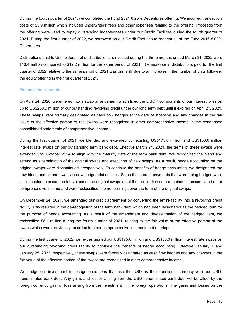During the fourth quarter of 2021, we completed the Fund 2021 6.25% Debentures offering. We incurred transaction costs of \$5.9 million which included underwriters' fees and other expenses relating to the offering. Proceeds from the offering were used to repay outstanding indebtedness under our Credit Facilities during the fourth quarter of 2021. During the first quarter of 2022, we borrowed on our Credit Facilities to redeem all of the Fund 2016 5.00% Debentures.

Distributions paid to Unitholders, net of distributions reinvested during the three months ended March 31, 2022 were \$13.4 million compared to \$12.2 million for the same period of 2021. The increase in distributions paid for the first quarter of 2022 relative to the same period of 2021 was primarily due to an increase in the number of units following the equity offering in the first quarter of 2021.

#### **Financial Instruments**

On April 24, 2020, we entered into a swap arrangement which fixed the LIBOR components of our interest rates on up to US\$250.0 million of our outstanding revolving credit under our long term debt until it expired on April 24, 2021. These swaps were formally designated as cash flow hedges at the date of inception and any changes in the fair value of the effective portion of the swaps were recognized in other comprehensive income in the condensed consolidated statements of comprehensive income.

During the first quarter of 2021, we blended and extended our existing US\$175.0 million and US\$150.0 million interest rate swaps on our outstanding term bank debt. Effective March 24, 2021, the terms of these swaps were extended until October 2024 to align with the maturity date of the term bank debt. We recognized the blend and extend as a termination of the original swaps and execution of new swaps. As a result, hedge accounting on the original swaps were discontinued prospectively. To continue the benefits of hedge accounting, we designated the new blend and extend swaps in new hedge relationships. Since the interest payments that were being hedged were still expected to occur, the fair values of the original swaps as of the termination date remained in accumulated other comprehensive income and were reclassified into net earnings over the term of the original swaps.

On December 24, 2021, we amended our credit agreement by converting the entire facility into a revolving credit facility. This resulted in the de-recognition of the term bank debt which had been designated as the hedged item for the purpose of hedge accounting. As a result of the amendment and de-designation of the hedged item, we reclassified \$8.1 million during the fourth quarter of 2021, relating to the fair value of the effective portion of the swaps which were previously recorded in other comprehensive income to net earnings.

During the first quarter of 2022, we re-designated our US\$175.0 million and US\$150.0 million interest rate swaps on our outstanding revolving credit facility to continue the benefits of hedge accounting. Effective January 1 and January 25, 2022, respectively, these swaps were formally designated as cash flow hedges and any changes in the fair value of the effective portion of the swaps are recognized in other comprehensive income.

We hedge our investment in foreign operations that use the USD as their functional currency with our USDdenominated bank debt. Any gains and losses arising from the USD-denominated bank debt will be offset by the foreign currency gain or loss arising from the investment in the foreign operations. The gains and losses on the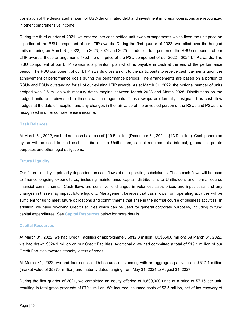translation of the designated amount of USD-denominated debt and investment in foreign operations are recognized in other comprehensive income.

During the third quarter of 2021, we entered into cash-settled unit swap arrangements which fixed the unit price on a portion of the RSU component of our LTIP awards. During the first quarter of 2022, we rolled over the hedged units maturing on March 31, 2022, into 2023, 2024 and 2025. In addition to a portion of the RSU component of our LTIP awards, these arrangements fixed the unit price of the PSU component of our 2022 - 2024 LTIP awards. The RSU component of our LTIP awards is a phantom plan which is payable in cash at the end of the performance period. The PSU component of our LTIP awards gives a right to the participants to receive cash payments upon the achievement of performance goals during the performance periods. The arrangements are based on a portion of RSUs and PSUs outstanding for all of our existing LTIP awards. As at March 31, 2022, the notional number of units hedged was 2.6 million with maturity dates ranging between March 2023 and March 2025. Distributions on the hedged units are reinvested in these swap arrangements. These swaps are formally designated as cash flow hedges at the date of inception and any changes in the fair value of the unvested portion of the RSUs and PSUs are recognized in other comprehensive income.

#### **Cash Balances**

At March 31, 2022, we had net cash balances of \$19.5 million (December 31, 2021 - \$13.9 million). Cash generated by us will be used to fund cash distributions to Unitholders, capital requirements, interest, general corporate purposes and other legal obligations.

#### **Future Liquidity**

Our future liquidity is primarily dependent on cash flows of our operating subsidiaries. These cash flows will be used to finance ongoing expenditures, including maintenance capital, distributions to Unitholders and normal course financial commitments. Cash flows are sensitive to changes in volumes, sales prices and input costs and any changes in these may impact future liquidity. Management believes that cash flows from operating activities will be sufficient for us to meet future obligations and commitments that arise in the normal course of business activities. In addition, we have revolving Credit Facilities which can be used for general corporate purposes, including to fund capital expenditures. See **Capital Resources** below for more details.

#### **Capital Resources**

At March 31, 2022, we had Credit Facilities of approximately \$812.8 million (US\$650.0 million). At March 31, 2022, we had drawn \$524.1 million on our Credit Facilities. Additionally, we had committed a total of \$19.1 million of our Credit Facilities towards standby letters of credit.

At March 31, 2022, we had four series of Debentures outstanding with an aggregate par value of \$517.4 million (market value of \$537.4 million) and maturity dates ranging from May 31, 2024 to August 31, 2027.

During the first quarter of 2021, we completed an equity offering of 9,800,000 units at a price of \$7.15 per unit, resulting in total gross proceeds of \$70.1 million. We incurred issuance costs of \$2.5 million, net of tax recovery of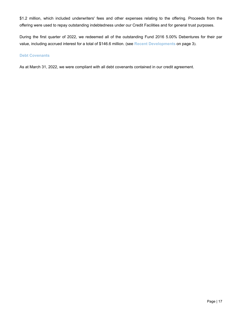\$1.2 million, which included underwriters' fees and other expenses relating to the offering. Proceeds from the offering were used to repay outstanding indebtedness under our Credit Facilities and for general trust purposes.

During the first quarter of 2022, we redeemed all of the outstanding Fund 2016 5.00% Debentures for their par value, including accrued interest for a total of \$146.6 million. (see **Recent Developments** on page [3](#page-3-0)).

#### **Debt Covenants**

As at March 31, 2022, we were compliant with all debt covenants contained in our credit agreement.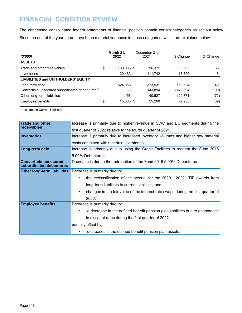### <span id="page-18-0"></span>**FINANCIAL CONDITION REVIEW**

The condensed consolidated interim statements of financial position contain certain categories as set out below. Since the end of the year, there have been material variances in these categories, which are explained below.

| (\$'000)                                          |    | March 31,<br>2022 | December 31,<br>2021 | \$ Change  | % Change |
|---------------------------------------------------|----|-------------------|----------------------|------------|----------|
| <b>ASSETS</b>                                     |    |                   |                      |            |          |
| Trade and other receivables                       | \$ | 130,033 \$        | 96.371               | 33,662     | 35       |
| Inventories                                       |    | 129.462           | 111,742              | 17.720     | 16       |
| <b>LIABILITIES and UNITHOLDERS' EQUITY</b>        |    |                   |                      |            |          |
| Long-term debt                                    |    | 524.065           | 373.531              | 150.534    | 40       |
| Convertible unsecured subordinated debentures (1) |    |                   | 143,894              | (143, 894) | (100)    |
| Other long-term liabilities                       |    | 11.156            | 40.527               | (29, 371)  | (72)     |
| Employee benefits                                 | \$ | 15,330 \$         | 25.260               | (9,930)    | (39)     |

(1) Included in Current liabilities

| <b>Trade and other</b>                                  | Increase is primarily due to higher revenue in SWC and EC segments during the         |  |  |  |  |  |  |
|---------------------------------------------------------|---------------------------------------------------------------------------------------|--|--|--|--|--|--|
| receivables                                             | first quarter of 2022 relative to the fourth quarter of 2021.                         |  |  |  |  |  |  |
| <b>Inventories</b>                                      | Increase is primarily due to increased inventory volumes and higher raw material      |  |  |  |  |  |  |
|                                                         | costs contained within certain inventories.                                           |  |  |  |  |  |  |
| Long-term debt                                          | Increase is primarily due to using the Credit Facilities to redeem the Fund 2016      |  |  |  |  |  |  |
|                                                         | 5.00% Debentures.                                                                     |  |  |  |  |  |  |
| <b>Convertible unsecured</b><br>subordinated debentures | Decrease is due to the redemption of the Fund 2016 5.00% Debentures.                  |  |  |  |  |  |  |
| <b>Other long-term liabilities</b>                      | Decrease is primarily due to:                                                         |  |  |  |  |  |  |
|                                                         | the reclassification of the accrual for the 2020 - 2022 LTIP awards from<br>$\bullet$ |  |  |  |  |  |  |
|                                                         | long-term liabilities to current liabilities, and                                     |  |  |  |  |  |  |
|                                                         | changes in the fair value of the interest rate swaps during the first quarter of<br>٠ |  |  |  |  |  |  |
|                                                         | 2022.                                                                                 |  |  |  |  |  |  |
| <b>Employee benefits</b>                                | Decrease is primarily due to:                                                         |  |  |  |  |  |  |
|                                                         | a decrease in the defined benefit pension plan liabilities due to an increase<br>٠    |  |  |  |  |  |  |
|                                                         | in discount rates during the first quarter of 2022,                                   |  |  |  |  |  |  |
|                                                         | partially offset by,                                                                  |  |  |  |  |  |  |
|                                                         | decreases in the defined benefit pension plan assets.<br>٠                            |  |  |  |  |  |  |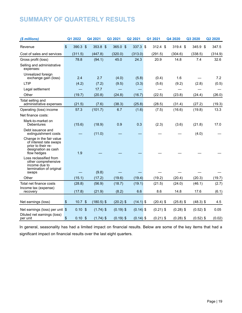## <span id="page-19-0"></span>**SUMMARY OF QUARTERLY RESULTS**

| (\$ millions)                                                                                                  |               | Q1 2022           | Q4 2021      | Q3 2021     | Q2 2021     | Q1 2021     | Q4 2020     | Q3 2020     | Q2 2020 |
|----------------------------------------------------------------------------------------------------------------|---------------|-------------------|--------------|-------------|-------------|-------------|-------------|-------------|---------|
| Revenue                                                                                                        | $\frac{1}{2}$ | 390.3 \$          | 353.8 \$     | 365.0 \$    | $337.3$ \$  | $312.4$ \$  | 319.4 \$    | 345.9 \$    | 347.5   |
| Cost of sales and services                                                                                     |               | (311.5)           | (447.8)      | (320.0)     | (313.0)     | (291.5)     | (304.6)     | (338.5)     | (314.9) |
| Gross profit (loss)                                                                                            |               | 78.8              | (94.1)       | 45.0        | 24.3        | 20.9        | 14.8        | 7.4         | 32.6    |
| Selling and administrative<br>expenses:                                                                        |               |                   |              |             |             |             |             |             |         |
| Unrealized foreign<br>exchange gain (loss)                                                                     |               | 2.4               | 2.7          | (4.0)       | (5.8)       | (0.4)       | 1.6         |             | 7.2     |
| LTIP                                                                                                           |               | (4.2)             | (7.2)        | (9.5)       | (3.3)       | (5.6)       | (9.2)       | (2.8)       | (0.5)   |
| Legal settlement                                                                                               |               |                   | 17.7         |             |             |             |             |             |         |
| Other                                                                                                          |               | (19.7)            | (20.8)       | (24.8)      | (16.7)      | (22.5)      | (23.8)      | (24.4)      | (26.0)  |
| Total selling and<br>administrative expenses                                                                   |               | (21.5)            | (7.6)        | (38.3)      | (25.8)      | (28.5)      | (31.4)      | (27.2)      | (19.3)  |
| Operating (loss) income                                                                                        |               | 57.3              | (101.7)      | 6.7         | (1.6)       | (7.5)       | (16.6)      | (19.8)      | 13.3    |
| Net finance costs:                                                                                             |               |                   |              |             |             |             |             |             |         |
| Mark-to-market on<br>Debentures                                                                                |               | (15.6)            | (18.9)       | 0.9         | 0.3         | (2.3)       | (3.6)       | (21.8)      | 17.0    |
| Debt issuance and<br>extinguishment costs                                                                      |               |                   | (11.0)       |             |             |             |             | (4.0)       |         |
| Change in the fair value<br>of interest rate swaps<br>prior to their re-<br>designation as cash<br>flow hedges |               | 1.9               |              |             |             |             |             |             |         |
| Loss reclassified from<br>other comprehensive<br>income due to<br>termination of original                      |               |                   |              |             |             |             |             |             |         |
| swaps                                                                                                          |               |                   | (9.8)        |             |             |             |             |             |         |
| Other                                                                                                          |               | (15.1)            | (17.2)       | (19.6)      | (19.4)      | (19.2)      | (20.4)      | (20.3)      | (19.7)  |
| Total net finance costs                                                                                        |               | (28.8)            | (56.9)       | (18.7)      | (19.1)      | (21.5)      | (24.0)      | (46.1)      | (2.7)   |
| Income tax (expense)<br>recovery                                                                               |               | (17.8)            | (21.9)       | (8.2)       | 6.6         | 8.6         | 14.8        | 17.6        | (6.1)   |
| Net earnings (loss)                                                                                            | \$            | 10.7 <sup>°</sup> | $(180.5)$ \$ | $(20.2)$ \$ | $(14.1)$ \$ | $(20.4)$ \$ | $(25.8)$ \$ | $(48.3)$ \$ | 4.5     |
| Net earnings (loss) per unit $$$<br>Diluted net earnings (loss)                                                |               | $0.10$ \$         | $(1.74)$ \$  | $(0.19)$ \$ | $(0.14)$ \$ | $(0.21)$ \$ | $(0.28)$ \$ | $(0.52)$ \$ | 0.05    |
| per unit                                                                                                       | \$            | 0.10 <sup>5</sup> | $(1.74)$ \$  | $(0.19)$ \$ | $(0.14)$ \$ | $(0.21)$ \$ | $(0.28)$ \$ | $(0.52)$ \$ | (0.02)  |

In general, seasonality has had a limited impact on financial results. Below are some of the key items that had a significant impact on financial results over the last eight quarters.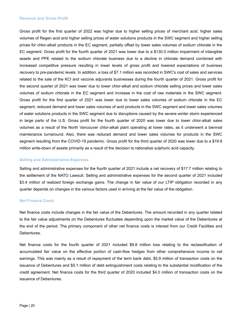#### **Revenue and Gross Profit**

Gross profit for the first quarter of 2022 was higher due to higher selling prices of merchant acid, higher sales volumes of Regen acid and higher selling prices of water solutions products in the SWC segment and higher selling prices for chlor-alkali products in the EC segment, partially offset by lower sales volumes of sodium chlorate in the EC segment. Gross profit for the fourth quarter of 2021 was lower due to a \$130.0 million impairment of intangible assets and PPE related to the sodium chlorate business due to a decline in chlorate demand combined with increased competitive pressure resulting in lower levels of gross profit and lowered expectations of business recovery to pre-pandemic levels. In addition, a loss of \$7.1 million was recorded in SWC's cost of sales and services related to the sale of the KCl and vaccine adjuvants businesses during the fourth quarter of 2021. Gross profit for the second quarter of 2021 was lower due to lower chlor-alkali and sodium chlorate selling prices and lower sales volumes of sodium chlorate in the EC segment and increase in the cost of raw materials in the SWC segment. Gross profit for the first quarter of 2021 was lower due to lower sales volumes of sodium chlorate in the EC segment, reduced demand and lower sales volumes of acid products in the SWC segment and lower sales volumes of water solutions products in the SWC segment due to disruptions caused by the severe winter storm experienced in large parts of the U.S. Gross profit for the fourth quarter of 2020 was lower due to lower chlor-alkali sales volumes as a result of the North Vancouver chlor-alkali plant operating at lower rates, as it underwent a biennial maintenance turnaround. Also, there was reduced demand and lower sales volumes for products in the SWC segment resulting from the COVID-19 pandemic. Gross profit for the third quarter of 2020 was lower due to a \$19.8 million write-down of assets primarily as a result of the decision to rationalize sulphuric acid capacity.

#### **Selling and Administrative Expenses**

Selling and administrative expenses for the fourth quarter of 2021 include a net recovery of \$17.7 million relating to the settlement of the NATO Lawsuit. Selling and administrative expenses for the second quarter of 2021 included \$3.4 million of realized foreign exchange gains. The change in fair value of our LTIP obligation recorded in any quarter depends on changes in the various factors used in arriving at the fair value of the obligation.

#### **Net Finance Costs**

Net finance costs include changes in the fair value of the Debentures. The amount recorded in any quarter related to the fair value adjustments on the Debentures fluctuates depending upon the market value of the Debentures at the end of the period. The primary component of other net finance costs is interest from our Credit Facilities and Debentures.

Net finance costs for the fourth quarter of 2021 included \$9.8 million loss relating to the reclassification of accumulated fair value on the effective portion of cash-flow hedges from other comprehensive income to net earnings. This was mainly as a result of repayment of the term bank debt, \$5.9 million of transaction costs on the issuance of Debentures and \$5.1 million of debt extinguishment costs relating to the substantial modification of the credit agreement. Net finance costs for the third quarter of 2020 included \$4.0 million of transaction costs on the issuance of Debentures.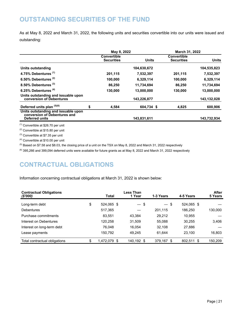### <span id="page-21-0"></span>**OUTSTANDING SECURITIES OF THE FUND**

As at May 8, 2022 and March 31, 2022, the following units and securities convertible into our units were issued and outstanding:

|                                                                                       | May 8, 2022                             |              |  | March 31, 2022                          |              |
|---------------------------------------------------------------------------------------|-----------------------------------------|--------------|--|-----------------------------------------|--------------|
|                                                                                       | <b>Convertible</b><br><b>Securities</b> | <b>Units</b> |  | <b>Convertible</b><br><b>Securities</b> | <b>Units</b> |
| Units outstanding                                                                     |                                         | 104,630,672  |  |                                         | 104,535,823  |
| 4.75% Debentures (1)                                                                  | 201,115                                 | 7,532,397    |  | 201,115                                 | 7,532,397    |
| 6.50% Debentures $(2)$                                                                | 100,000                                 | 6,329,114    |  | 100,000                                 | 6,329,114    |
| 8.50% Debentures <sup>(3)</sup>                                                       | 86,250                                  | 11,734,694   |  | 86,250                                  | 11,734,694   |
| 6.25% Debentures <sup>(4)</sup>                                                       | 130,000                                 | 13,000,000   |  | 130,000                                 | 13,000,000   |
| Units outstanding and issuable upon<br>conversion of Debentures                       |                                         | 143,226,877  |  |                                         | 143,132,028  |
| Deferred units plan (5)(6)                                                            | \$<br>4.584                             | 604,734 \$   |  | 4,825                                   | 600,906      |
| Units outstanding and issuable upon<br>conversion of Debentures and<br>Deferred units |                                         | 143,831,611  |  |                                         | 143,732,934  |

(1) Convertible at \$26.70 per unit

(2) Convertible at \$15.80 per unit

(3) Convertible at \$7.35 per unit

 $(4)$  Convertible at \$10.00 per unit

 $^{(5)}$  Based on \$7.58 and \$8.03, the closing price of a unit on the TSX on May 8, 2022 and March 31, 2022 respectively

 $(6)$  395,266 and 399,094 deferred units were available for future grants as at May 8, 2022 and March 31, 2022 respectively

### **CONTRACTUAL OBLIGATIONS**

Information concerning contractual obligations at March 31, 2022 is shown below:

| <b>Contractual Obligations</b><br>$(\$'000)$ | Total              | Less Than<br>1 Year | 1-3 Years  | 4-5 Years  | After<br>5 Years |
|----------------------------------------------|--------------------|---------------------|------------|------------|------------------|
| Long-term debt                               | \$<br>524,065 \$   | $-$ \$              | - \$       | 524,065 \$ |                  |
| <b>Debentures</b>                            | 517,365            |                     | 201,115    | 186.250    | 130.000          |
| Purchase commitments                         | 83.551             | 43.384              | 29.212     | 10.955     |                  |
| Interest on Debentures                       | 120.258            | 31,509              | 55,088     | 30,255     | 3,406            |
| Interest on long-term debt                   | 76.048             | 16.054              | 32.108     | 27,886     |                  |
| Lease payments                               | 150.792            | 49.245              | 61.644     | 23.100     | 16.803           |
| Total contractual obligations                | \$<br>1,472,079 \$ | 140,192 \$          | 379,167 \$ | 802,511 \$ | 150.209          |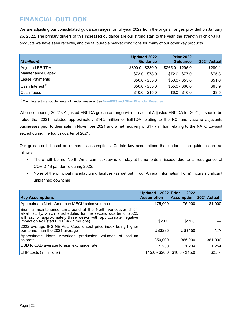### <span id="page-22-0"></span>**FINANCIAL OUTLOOK**

We are adjusting our consolidated guidance ranges for full-year 2022 from the original ranges provided on January 26, 2022. The primary drivers of this increased guidance are our strong start to the year, the strength in chlor-alkali products we have seen recently, and the favourable market conditions for many of our other key products.

| $(\$$ million)         | Updated 2022<br><b>Guidance</b> | <b>Prior 2022</b><br><b>Guidance</b> | 2021 Actual |
|------------------------|---------------------------------|--------------------------------------|-------------|
| <b>Adjusted EBITDA</b> | $$300.0 - $330.0$               | $$265.0 - $295.0$                    | \$280.4     |
| Maintenance Capex      | $$73.0 - $78.0$                 | $$72.0 - $77.0$                      | \$75.3      |
| Lease Payments         | $$50.0 - $55.0$                 | $$50.0 - $55.0$                      | \$51.6      |
| Cash Interest (1)      | $$50.0 - $55.0$                 | $$55.0 - $60.0$                      | \$65.9      |
| Cash Taxes             | $$10.0 - $15.0$                 | $$6.0 - $10.0$                       | \$3.5       |

(1) Cash Interest is a supplementary financial measure. See **Non-IFRS and Other Financial Measures**.

When comparing 2022's Adjusted EBITDA guidance range with the actual Adjusted EBITDA for 2021, it should be noted that 2021 included approximately \$14.2 million of EBITDA relating to the KCl and vaccine adjuvants businesses prior to their sale in November 2021 and a net recovery of \$17.7 million relating to the NATO Lawsuit settled during the fourth quarter of 2021.

Our guidance is based on numerous assumptions. Certain key assumptions that underpin the guidance are as follows:

- There will be no North American lockdowns or stay-at-home orders issued due to a resurgence of COVID-19 pandemic during 2022.
- None of the principal manufacturing facilities (as set out in our Annual Information Form) incurs significant unplanned downtime.

| <b>Key Assumptions</b>                                                                                                                                                                                                                               | Updated 2022 Prior<br><b>Assumption</b> | 2022<br><b>Assumption 2021 Actual</b> |         |
|------------------------------------------------------------------------------------------------------------------------------------------------------------------------------------------------------------------------------------------------------|-----------------------------------------|---------------------------------------|---------|
| Approximate North American MECU sales volumes                                                                                                                                                                                                        | 175,000                                 | 175.000                               | 181,000 |
| Biennial maintenance turnaround at the North Vancouver chlor-<br>alkali facility, which is scheduled for the second quarter of 2022,<br>will last for approximately three weeks with approximate negative<br>impact on Adjusted EBITDA (in millions) | \$20.0                                  | \$11.0                                |         |
| 2022 average IHS NE Asia Caustic spot price index being higher<br>per tonne than the 2021 average                                                                                                                                                    | <b>US\$285</b>                          | <b>US\$150</b>                        | N/A     |
| Approximate North American production volumes of sodium<br>chlorate                                                                                                                                                                                  | 350,000                                 | 365,000                               | 361,000 |
| USD to CAD average foreign exchange rate                                                                                                                                                                                                             | 1.250                                   | 1.234                                 | 1.254   |
| LTIP costs (in millions)                                                                                                                                                                                                                             |                                         | $$15.0 - $20.0$ $$10.0 - $15.0$       | \$25.7  |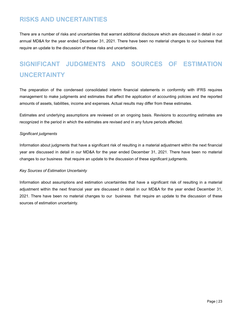### <span id="page-23-0"></span>**RISKS AND UNCERTAINTIES**

There are a number of risks and uncertainties that warrant additional disclosure which are discussed in detail in our annual MD&A for the year ended December 31, 2021. There have been no material changes to our business that require an update to the discussion of these risks and uncertainties.

# **SIGNIFICANT JUDGMENTS AND SOURCES OF ESTIMATION UNCERTAINTY**

The preparation of the condensed consolidated interim financial statements in conformity with IFRS requires management to make judgments and estimates that affect the application of accounting policies and the reported amounts of assets, liabilities, income and expenses. Actual results may differ from these estimates.

Estimates and underlying assumptions are reviewed on an ongoing basis. Revisions to accounting estimates are recognized in the period in which the estimates are revised and in any future periods affected.

#### *Significant judgments*

Information about judgments that have a significant risk of resulting in a material adjustment within the next financial year are discussed in detail in our MD&A for the year ended December 31, 2021. There have been no material changes to our business that require an update to the discussion of these significant judgments.

#### *Key Sources of Estimation Uncertainty*

Information about assumptions and estimation uncertainties that have a significant risk of resulting in a material adjustment within the next financial year are discussed in detail in our MD&A for the year ended December 31, 2021. There have been no material changes to our business that require an update to the discussion of these sources of estimation uncertainty.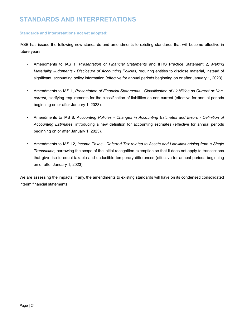### <span id="page-24-0"></span>**STANDARDS AND INTERPRETATIONS**

#### **Standards and interpretations not yet adopted:**

IASB has issued the following new standards and amendments to existing standards that will become effective in future years.

- Amendments to IAS 1, *Presentation of Financial Statements* and IFRS Practice Statement 2, *Making Materiality Judgments - Disclosure of Accounting Policies*, requiring entities to disclose material, instead of significant, accounting policy information (effective for annual periods beginning on or after January 1, 2023).
- Amendments to IAS 1, *Presentation of Financial Statements Classification of Liabilities as Current or Noncurrent*, clarifying requirements for the classification of liabilities as non-current (effective for annual periods beginning on or after January 1, 2023).
- Amendments to IAS 8, *Accounting Policies Changes in Accounting Estimates and Errors Definition of Accounting Estimates*, introducing a new definition for accounting estimates (effective for annual periods beginning on or after January 1, 2023).
- Amendments to IAS 12, *Income Taxes Deferred Tax related to Assets and Liabilities arising from a Single Transaction,* narrowing the scope of the initial recognition exemption so that it does not apply to transactions that give rise to equal taxable and deductible temporary differences (effective for annual periods beginning on or after January 1, 2023).

We are assessing the impacts, if any, the amendments to existing standards will have on its condensed consolidated interim financial statements.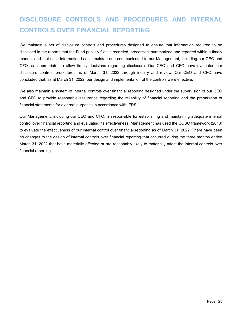# <span id="page-25-0"></span>**DISCLOSURE CONTROLS AND PROCEDURES AND INTERNAL CONTROLS OVER FINANCIAL REPORTING**

We maintain a set of disclosure controls and procedures designed to ensure that information required to be disclosed in the reports that the Fund publicly files is recorded, processed, summarized and reported within a timely manner and that such information is accumulated and communicated to our Management, including our CEO and CFO, as appropriate, to allow timely decisions regarding disclosure. Our CEO and CFO have evaluated our disclosure controls procedures as of March 31, 2022 through inquiry and review. Our CEO and CFO have concluded that, as at March 31, 2022, our design and implementation of the controls were effective.

We also maintain a system of internal controls over financial reporting designed under the supervision of our CEO and CFO to provide reasonable assurance regarding the reliability of financial reporting and the preparation of financial statements for external purposes in accordance with IFRS.

Our Management, including our CEO and CFO, is responsible for establishing and maintaining adequate internal control over financial reporting and evaluating its effectiveness. Management has used the COSO framework (2013) to evaluate the effectiveness of our internal control over financial reporting as of March 31, 2022. There have been no changes to the design of internal controls over financial reporting that occurred during the three months ended March 31, 2022 that have materially affected or are reasonably likely to materially affect the internal controls over financial reporting.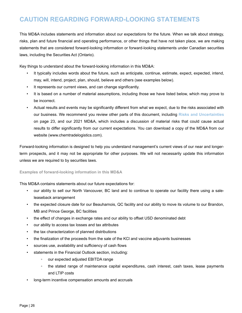### <span id="page-26-0"></span>**CAUTION REGARDING FORWARD-LOOKING STATEMENTS**

This MD&A includes statements and information about our expectations for the future. When we talk about strategy, risks, plan and future financial and operating performance, or other things that have not taken place, we are making statements that are considered forward-looking information or forward-looking statements under Canadian securities laws, including the Securities Act (Ontario).

Key things to understand about the forward-looking information in this MD&A:

- It typically includes words about the future, such as anticipate, continue, estimate, expect, expected, intend, may, will, intend, project, plan, should, believe and others (see examples below).
- It represents our current views, and can change significantly.
- It is based on a number of material assumptions, including those we have listed below, which may prove to be incorrect.
- *•* Actual results and events may be significantly different from what we expect, due to the risks associated with our business. We recommend you review other parts of this document, including **Risks and Uncertainties** on page [23,](#page-23-0) and our 2021 MD&A, which includes a discussion of material risks that could cause actual results to differ significantly from our current expectations. You can download a copy of the MD&A from our website (www.chemtradelogistics.com).

Forward-looking information is designed to help you understand management's current views of our near and longerterm prospects, and it may not be appropriate for other purposes. We will not necessarily update this information unless we are required to by securities laws.

#### **Examples of forward-looking information in this MD&A**

This MD&A contains statements about our future expectations for:

- our ability to sell our North Vancouver, BC land and to continue to operate our facility there using a saleleaseback arrangement
- the expected closure date for our Beauharnois, QC facility and our ability to move its volume to our Brandon, MB and Prince George, BC facilities
- the effect of changes in exchange rates and our ability to offset USD denominated debt
- our ability to access tax losses and tax attributes
- *•* the tax characterization of planned distributions
- the finalization of the proceeds from the sale of the KCl and vaccine adjuvants businesses
- sources use, availability and sufficiency of cash flows
- statements in the Financial Outlook section, including:
	- our expected adjusted EBITDA range
	- the stated range of maintenance capital expenditures, cash interest, cash taxes, lease payments and LTIP costs
- long-term incentive compensation amounts and accruals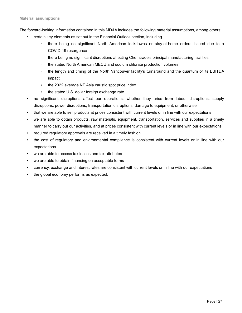The forward-looking information contained in this MD&A includes the following material assumptions, among others:

- certain key elements as set out in the Financial Outlook section, including
	- there being no significant North American lockdowns or stay-at-home orders issued due to a COVID-19 resurgence
	- there being no significant disruptions affecting Chemtrade's principal manufacturing facilities
	- the stated North American MECU and sodium chlorate production volumes
	- the length and timing of the North Vancouver facility's turnaround and the quantum of its EBITDA impact
	- the 2022 average NE Asia caustic spot price index
	- the stated U.S. dollar foreign exchange rate
- *•* no significant disruptions affect our operations, whether they arise from labour disruptions, supply disruptions, power disruptions, transportation disruptions, damage to equipment, or otherwise
- that we are able to sell products at prices consistent with current levels or in line with our expectations
- we are able to obtain products, raw materials, equipment, transportation, services and supplies in a timely manner to carry out our activities, and at prices consistent with current levels or in line with our expectations
- required regulatory approvals are received in a timely fashion
- the cost of regulatory and environmental compliance is consistent with current levels or in line with our expectations
- we are able to access tax losses and tax attributes
- we are able to obtain financing on acceptable terms
- currency, exchange and interest rates are consistent with current levels or in line with our expectations
- the global economy performs as expected.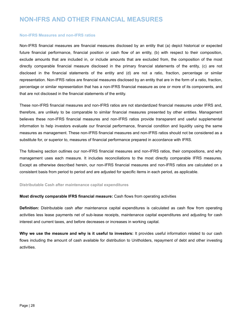### <span id="page-28-0"></span>**NON-IFRS AND OTHER FINANCIAL MEASURES**

#### **Non-IFRS Measures and non-IFRS ratios**

Non-IFRS financial measures are financial measures disclosed by an entity that (a) depict historical or expected future financial performance, financial position or cash flow of an entity, (b) with respect to their composition, exclude amounts that are included in, or include amounts that are excluded from, the composition of the most directly comparable financial measure disclosed in the primary financial statements of the entity, (c) are not disclosed in the financial statements of the entity and (d) are not a ratio, fraction, percentage or similar representation. Non-IFRS ratios are financial measures disclosed by an entity that are in the form of a ratio, fraction, percentage or similar representation that has a non-IFRS financial measure as one or more of its components, and that are not disclosed in the financial statements of the entity.

These non-IFRS financial measures and non-IFRS ratios are not standardized financial measures under IFRS and, therefore, are unlikely to be comparable to similar financial measures presented by other entities. Management believes these non-IFRS financial measures and non-IFRS ratios provide transparent and useful supplemental information to help investors evaluate our financial performance, financial condition and liquidity using the same measures as management. These non-IFRS financial measures and non-IFRS ratios should not be considered as a substitute for, or superior to, measures of financial performance prepared in accordance with IFRS.

The following section outlines our non-IFRS financial measures and non-IFRS ratios, their compositions, and why management uses each measure. It includes reconciliations to the most directly comparable IFRS measures. Except as otherwise described herein, our non-IFRS financial measures and non-IFRS ratios are calculated on a consistent basis from period to period and are adjusted for specific items in each period, as applicable.

#### **Distributable Cash after maintenance capital expenditures**

#### **Most directly comparable IFRS financial measure:** Cash flows from operating activities

**Definition:** Distributable cash after maintenance capital expenditures is calculated as cash flow from operating activities less lease payments net of sub-lease receipts, maintenance capital expenditures and adjusting for cash interest and current taxes, and before decreases or increases in working capital.

**Why we use the measure and why is it useful to investors:** It provides useful information related to our cash flows including the amount of cash available for distribution to Unitholders, repayment of debt and other investing activities.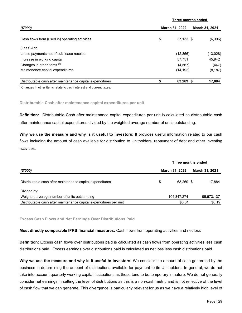|                                                           |                                         | Three months ended |           |  |  |
|-----------------------------------------------------------|-----------------------------------------|--------------------|-----------|--|--|
| (\$'000)                                                  | March 31, 2022<br><b>March 31, 2021</b> |                    |           |  |  |
| Cash flows from (used in) operating activities            | \$                                      | $37,133$ \$        | (6, 396)  |  |  |
| (Less) Add:                                               |                                         |                    |           |  |  |
| Lease payments net of sub-lease receipts                  |                                         | (12, 856)          | (13, 028) |  |  |
| Increase in working capital                               |                                         | 57,751             | 45,942    |  |  |
| Changes in other items <sup>(1)</sup>                     |                                         | (4, 567)           | (447)     |  |  |
| Maintenance capital expenditures                          |                                         | (14, 192)          | (8, 187)  |  |  |
| Distributable cash after maintenance capital expenditures | \$                                      | 63,269 \$          | 17,884    |  |  |

 $<sup>(1)</sup>$  Changes in other items relate to cash interest and current taxes.</sup>

#### **Distributable Cash after maintenance capital expenditures per unit**

**Definition:** Distributable Cash after maintenance capital expenditures per unit is calculated as distributable cash after maintenance capital expenditures divided by the weighted average number of units outstanding.

**Why we use the measure and why is it useful to investors:** It provides useful information related to our cash flows including the amount of cash available for distribution to Unitholders, repayment of debt and other investing activities.

|                                                                    | Three months ended |             |  |            |  |  |  |  |  |  |
|--------------------------------------------------------------------|--------------------|-------------|--|------------|--|--|--|--|--|--|
| (\$'000)                                                           | March 31, 2022     |             |  |            |  |  |  |  |  |  |
| Distributable cash after maintenance capital expenditures          | \$                 | 63.269 \$   |  | 17,884     |  |  |  |  |  |  |
| Divided by:                                                        |                    |             |  |            |  |  |  |  |  |  |
| Weighted average number of units outstanding                       |                    | 104,347,274 |  | 95,673,137 |  |  |  |  |  |  |
| Distributable cash after maintenance capital expenditures per unit |                    | \$0.61      |  | \$0.19     |  |  |  |  |  |  |

**Excess Cash Flows and Net Earnings Over Distributions Paid** 

**Most directly comparable IFRS financial measures:** Cash flows from operating activities and net loss

**Definition:** Excess cash flows over distributions paid is calculated as cash flows from operating activities less cash distributions paid. Excess earnings over distributions paid is calculated as net loss less cash distributions paid.

**Why we use the measure and why is it useful to investors:** We consider the amount of cash generated by the business in determining the amount of distributions available for payment to its Unitholders. In general, we do not take into account quarterly working capital fluctuations as these tend to be temporary in nature. We do not generally consider net earnings in setting the level of distributions as this is a non-cash metric and is not reflective of the level of cash flow that we can generate. This divergence is particularly relevant for us as we have a relatively high level of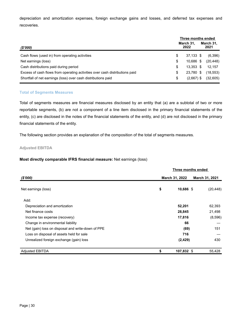depreciation and amortization expenses, foreign exchange gains and losses, and deferred tax expenses and recoveries.

|                                                                             |    | Three months ended |  |                   |
|-----------------------------------------------------------------------------|----|--------------------|--|-------------------|
| (\$'000)                                                                    |    | March 31.<br>2022  |  | March 31,<br>2021 |
| Cash flows (used in) from operating activities                              | S  | 37.133 \$          |  | (6,396)           |
| Net earnings (loss)                                                         | S  | 10.686 \$          |  | (20, 448)         |
| Cash distributions paid during period                                       | S  | $13.353$ \$        |  | 12.157            |
| Excess of cash flows from operating activities over cash distributions paid | \$ | 23,780 \$          |  | (18, 553)         |
| Shortfall of net earnings (loss) over cash distributions paid               | S  | $(2,667)$ \$       |  | (32,605)          |

#### **Total of Segments Measures**

Total of segments measures are financial measures disclosed by an entity that (a) are a subtotal of two or more reportable segments, (b) are not a component of a line item disclosed in the primary financial statements of the entity, (c) are disclosed in the notes of the financial statements of the entity, and (d) are not disclosed in the primary financial statements of the entity.

The following section provides an explanation of the composition of the total of segments measures.

#### **Adjusted EBITDA**

#### **Most directly comparable IFRS financial measure:** Net earnings (loss)

|                                                   |                | Three months ended |           |
|---------------------------------------------------|----------------|--------------------|-----------|
| (\$'000)                                          | March 31, 2022 | March 31, 2021     |           |
| Net earnings (loss)                               | \$             | 10,686 \$          | (20, 448) |
| Add:                                              |                |                    |           |
| Depreciation and amortization                     |                | 52,201             | 62,393    |
| Net finance costs                                 |                | 28,845             | 21,498    |
| Income tax expense (recovery)                     |                | 17,816             | (8,596)   |
| Change in environmental liability                 |                | 66                 |           |
| Net (gain) loss on disposal and write-down of PPE |                | (69)               | 151       |
| Loss on disposal of assets held for sale          |                | 716                |           |
| Unrealized foreign exchange (gain) loss           |                | (2, 429)           | 430       |
| <b>Adjusted EBITDA</b>                            | \$             | 107,832 \$         | 55,428    |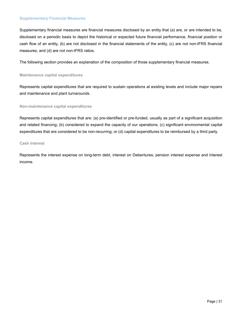#### **Supplementary Financial Measures**

Supplementary financial measures are financial measures disclosed by an entity that (a) are, or are intended to be, disclosed on a periodic basis to depict the historical or expected future financial performance, financial position or cash flow of an entity, (b) are not disclosed in the financial statements of the entity, (c) are not non-IFRS financial measures, and (d) are not non-IFRS ratios.

The following section provides an explanation of the composition of those supplementary financial measures.

**Maintenance capital expenditures** 

Represents capital expenditures that are required to sustain operations at existing levels and include major repairs and maintenance and plant turnarounds.

**Non-maintenance capital expenditures**

Represents capital expenditures that are: (a) pre-identified or pre-funded, usually as part of a significant acquisition and related financing; (b) considered to expand the capacity of our operations; (c) significant environmental capital expenditures that are considered to be non-recurring; or (d) capital expenditures to be reimbursed by a third party.

**Cash Interest**

Represents the interest expense on long-term debt, interest on Debentures, pension interest expense and interest income.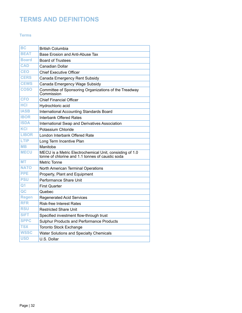### <span id="page-32-0"></span>**TERMS AND DEFINITIONS**

#### **Terms**

| <b>BC</b>      | <b>British Columbia</b>                                                                                      |
|----------------|--------------------------------------------------------------------------------------------------------------|
| <b>BEAT</b>    | Base Erosion and Anti-Abuse Tax                                                                              |
| <b>Board</b>   | <b>Board of Trustees</b>                                                                                     |
| <b>CAD</b>     | Canadian Dollar                                                                                              |
| <b>CEO</b>     | <b>Chief Executive Officer</b>                                                                               |
| <b>CERS</b>    | Canada Emergency Rent Subsidy                                                                                |
| <b>CEWS</b>    | Canada Emergency Wage Subsidy                                                                                |
| <b>COSO</b>    | Committee of Sponsoring Organizations of the Treadway<br>Commission                                          |
| <b>CFO</b>     | <b>Chief Financial Officer</b>                                                                               |
| <b>HCI</b>     | Hydrochloric acid                                                                                            |
| <b>IASB</b>    | <b>International Accounting Standards Board</b>                                                              |
| <b>IBOR</b>    | <b>Interbank Offered Rates</b>                                                                               |
| <b>ISDA</b>    | International Swap and Derivatives Association                                                               |
| KCI            | Potassium Chloride                                                                                           |
| <b>LIBOR</b>   | London Interbank Offered Rate                                                                                |
| LTIP           | Long Term Incentive Plan                                                                                     |
| <b>MB</b>      | Manitoba                                                                                                     |
| <b>MECU</b>    | MECU is a Metric Electrochemical Unit, consisting of 1.0<br>tonne of chlorine and 1.1 tonnes of caustic soda |
| <b>MT</b>      | Metric Tonne                                                                                                 |
| <b>NATO</b>    | North American Terminal Operations                                                                           |
| <b>PPE</b>     | Property, Plant and Equipment                                                                                |
| <b>PSU</b>     | Performance Share Unit                                                                                       |
| Q <sub>1</sub> | <b>First Quarter</b>                                                                                         |
| QC             | Quebec                                                                                                       |
| <b>Regen</b>   | <b>Regenerated Acid Services</b>                                                                             |
| <b>RFR</b>     | <b>Risk-free Interest Rates</b>                                                                              |
| <b>RSU</b>     | <b>Restricted Share Unit</b>                                                                                 |
| <b>SIFT</b>    | Specified investment flow-through trust                                                                      |
| <b>SPPC</b>    | <b>Sulphur Products and Performance Products</b>                                                             |
| <b>TSX</b>     | <b>Toronto Stock Exchange</b>                                                                                |
| <b>WSSC</b>    | <b>Water Solutions and Specialty Chemicals</b>                                                               |
| <b>USD</b>     | U.S. Dollar                                                                                                  |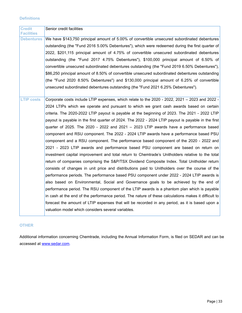#### **Definitions**

| <b>Credit</b><br>Facilities | Senior credit facilities                                                                             |
|-----------------------------|------------------------------------------------------------------------------------------------------|
| <b>Debentures</b>           | We have \$143,750 principal amount of 5.00% of convertible unsecured subordinated debentures         |
|                             | outstanding (the "Fund 2016 5.00% Debentures"), which were redeemed during the first quarter of      |
|                             | 2022, \$201,115 principal amount of 4.75% of convertible unsecured subordinated debentures           |
|                             | outstanding (the "Fund 2017 4.75% Debentures"), \$100,000 principal amount of 6.50% of               |
|                             | convertible unsecured subordinated debentures outstanding (the "Fund 2019 6.50% Debentures"),        |
|                             | \$86,250 principal amount of 8.50% of convertible unsecured subordinated debentures outstanding      |
|                             | (the "Fund 2020 8.50% Debentures") and \$130,000 principal amount of 6.25% of convertible            |
|                             | unsecured subordinated debentures outstanding (the "Fund 2021 6.25% Debentures").                    |
|                             |                                                                                                      |
| <b>LTIP costs</b>           | Corporate costs include LTIP expenses, which relate to the 2020 - 2022, 2021 - 2023 and 2022 -       |
|                             | 2024 LTIPs which we operate and pursuant to which we grant cash awards based on certain              |
|                             | criteria. The 2020-2022 LTIP payout is payable at the beginning of 2023. The 2021 - 2022 LTIP        |
|                             | payout is payable in the first quarter of 2024. The 2022 - 2024 LTIP payout is payable in the first  |
|                             | quarter of 2025. The 2020 - 2022 and 2021 $-$ 2023 LTIP awards have a performance based              |
|                             | component and RSU component. The 2022 - 2024 LTIP awards have a performance based PSU                |
|                             | component and a RSU component. The performance based component of the 2020 - 2022 and                |
|                             | 2021 - 2023 LTIP awards and performance based PSU component are based on return on                   |
|                             | investment capital improvement and total return to Chemtrade's Unitholders relative to the total     |
|                             | return of companies comprising the S&P/TSX Dividend Composite Index. Total Unitholder return         |
|                             | consists of changes in unit price and distributions paid to Unitholders over the course of the       |
|                             | performance periods. The performance based PSU component under 2022 - 2024 LTIP awards is            |
|                             | also based on Environmental, Social and Governance goals to be achieved by the end of                |
|                             | performance period. The RSU component of the LTIP awards is a phantom plan which is payable          |
|                             | in cash at the end of the performance period. The nature of these calculations makes it difficult to |
|                             | forecast the amount of LTIP expenses that will be recorded in any period, as it is based upon a      |
|                             | valuation model which considers several variables.                                                   |
|                             |                                                                                                      |

#### **OTHER**

Additional information concerning Chemtrade, including the Annual Information Form, is filed on SEDAR and can be accessed at www.sedar.com.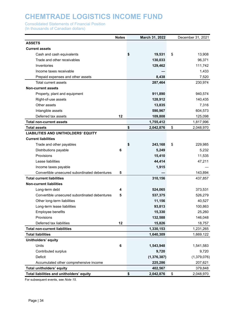Consolidated Statements of Financial Position

(In thousands of Canadian dollars)

|                                               | <b>Notes</b> | March 31, 2022  | December 31, 2021 |
|-----------------------------------------------|--------------|-----------------|-------------------|
| <b>ASSETS</b>                                 |              |                 |                   |
| <b>Current assets</b>                         |              |                 |                   |
| Cash and cash equivalents                     |              | 19,531          | 13,908<br>\$      |
| Trade and other receivables                   |              | 130,033         | 96,371            |
| Inventories                                   |              | 129,462         | 111,742           |
| Income taxes receivable                       |              |                 | 1,433             |
| Prepaid expenses and other assets             |              | 8,438           | 7,520             |
| Total current assets                          |              | 287,464         | 230,974           |
| <b>Non-current assets</b>                     |              |                 |                   |
| Property, plant and equipment                 |              | 911,890         | 940,574           |
| Right-of-use assets                           |              | 128,912         | 140,435           |
| Other assets                                  |              | 13,835          | 7,316             |
| Intangible assets                             |              | 590,967         | 604,573           |
| Deferred tax assets                           | 12           | 109,808         | 125,098           |
| <b>Total non-current assets</b>               |              | 1,755,412       | 1,817,996         |
| <b>Total assets</b>                           |              | \$<br>2,042,876 | \$<br>2,048,970   |
| <b>LIABILITIES AND UNITHOLDERS' EQUITY</b>    |              |                 |                   |
| <b>Current liabilities</b>                    |              |                 |                   |
| Trade and other payables                      |              | 243,168         | \$<br>229,985     |
| Distributions payable                         | 6            | 5,249           | 5,232             |
| Provisions                                    |              | 15,410          | 11,535            |
| Lease liabilities                             |              | 44,414          | 47,211            |
| Income taxes payable                          |              | 1,915           |                   |
| Convertible unsecured subordinated debentures | 5            |                 | 143,894           |
| <b>Total current liabilities</b>              |              | 310,156         | 437,857           |
| <b>Non-current liabilities</b>                |              |                 |                   |
| Long-term debt                                | 4            | 524,065         | 373,531           |
| Convertible unsecured subordinated debentures | 5            | 537,375         | 526,279           |
| Other long-term liabilities                   |              | 11,156          | 40,527            |
| Long-term lease liabilities                   |              | 93,813          | 100,863           |
| Employee benefits                             |              | 15,330          | 25,260            |
| Provisions                                    |              | 132,588         | 146,048           |
| Deferred tax liabilities                      | 12           | 15,826          | 18,757            |
| <b>Total non-current liabilities</b>          |              | 1,330,153       | 1,231,265         |
| <b>Total liabilities</b>                      |              | 1,640,309       | 1,669,122         |
| Unitholders' equity                           |              |                 |                   |
| Units                                         | 6            | 1,543,948       | 1,541,583         |
| Contributed surplus                           |              | 9,720           | 9,720             |
| Deficit                                       |              | (1, 376, 387)   | (1,379,076)       |
| Accumulated other comprehensive income        |              | 225,286         | 207,621           |
| <b>Total unitholders' equity</b>              |              | 402,567         | 379,848           |
| Total liabilities and unitholders' equity     |              | \$<br>2,042,876 | \$<br>2,048,970   |

For subsequent events, see *Note 15*.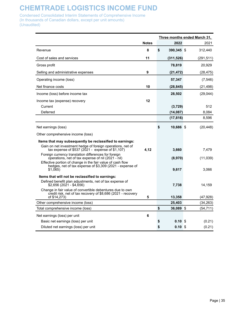Condensed Consolidated Interim Statements of Comprehensive Income (In thousands of Canadian dollars, except per unit amounts) (Unaudited)

|                                                                                                                                           |              |                         | Three months ended March 31, |
|-------------------------------------------------------------------------------------------------------------------------------------------|--------------|-------------------------|------------------------------|
|                                                                                                                                           | <b>Notes</b> | 2022                    | 2021                         |
| Revenue                                                                                                                                   | 8            | \$<br>390,345 \$        | 312,440                      |
| Cost of sales and services                                                                                                                | 11           | (311, 526)              | (291, 511)                   |
| Gross profit                                                                                                                              |              | 78,819                  | 20,929                       |
| Selling and administrative expenses                                                                                                       | 9            | (21,472)                | (28, 475)                    |
| Operating income (loss)                                                                                                                   |              | 57,347                  | (7, 546)                     |
| Net finance costs                                                                                                                         | 10           | (28, 845)               | (21, 498)                    |
| Income (loss) before income tax                                                                                                           |              | 28,502                  | (29, 044)                    |
| Income tax (expense) recovery                                                                                                             | 12           |                         |                              |
| Current                                                                                                                                   |              | (3,729)                 | 512                          |
| Deferred                                                                                                                                  |              | (14, 087)               | 8,084                        |
|                                                                                                                                           |              | (17, 816)               | 8,596                        |
| Net earnings (loss)                                                                                                                       |              | \$<br>10,686 \$         | (20, 448)                    |
| Other comprehensive income (loss)                                                                                                         |              |                         |                              |
| Items that may subsequently be reclassified to earnings:                                                                                  |              |                         |                              |
| Gain on net investment hedge of foreign operations, net of<br>tax expense of $$537 (2021 - expense of $1,107)$                            | 4,12         | 3,660                   | 7,479                        |
| Foreign currency translation differences for foreign                                                                                      |              |                         |                              |
| operations, net of tax expense of nil (2021 - nil)                                                                                        |              | (8,970)                 | (11, 039)                    |
| Effective portion of change in the fair value of cash flow<br>hedges, net of tax expense of \$3,309 (2021 - expense of<br>\$1,065)        |              | 9,617                   | 3.066                        |
| Items that will not be reclassified to earnings:                                                                                          |              |                         |                              |
| Defined benefit plan adjustments, net of tax expense of<br>\$2,656 (2021 - \$4,656)                                                       |              | 7,738                   | 14,159                       |
| Change in fair value of convertible debentures due to own<br>credit risk, net of tax recovery of \$8,686 (2021 - recovery<br>of \$14,273) | 5            | 13,358                  | (47, 928)                    |
| Other comprehensive income (loss)                                                                                                         |              | 25,403                  | (34, 263)                    |
| Total comprehensive income (loss)                                                                                                         |              | \$<br>36,089 \$         | (54, 711)                    |
| Net earnings (loss) per unit                                                                                                              | 6            |                         |                              |
| Basic net earnings (loss) per unit                                                                                                        |              | \$<br>0.10S             | (0.21)                       |
| Diluted net earnings (loss) per unit                                                                                                      |              | \$<br>0.10 <sup>5</sup> | (0.21)                       |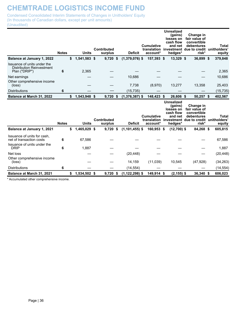Condensed Consolidated Interim Statements of Changes in Unitholders' Equity (In thousands of Canadian dollars, except per unit amounts) (Unaudited)

|                                                                                        | <b>Notes</b> | <b>Units</b>       | <b>Contributed</b><br>surplus | <b>Deficit</b>     | <b>Cumulative</b><br>translation<br>account* | <b>Unrealized</b><br>(gains)<br>losses on<br>cash flow<br>and net<br>hedges* | Change in<br>fair value of<br>convertible<br>debentures<br>investment due to credit unitholders'<br>risk* | <b>Total</b><br>equity |
|----------------------------------------------------------------------------------------|--------------|--------------------|-------------------------------|--------------------|----------------------------------------------|------------------------------------------------------------------------------|-----------------------------------------------------------------------------------------------------------|------------------------|
| <b>Balance at January 1, 2022</b>                                                      |              | \$<br>1,541,583 \$ | $9,720$ \$                    | $(1,379,076)$ \$   | 157,393 \$                                   | 13,329 \$                                                                    | 36,899 \$                                                                                                 | 379,848                |
| Issuance of units under the<br><b>Distribution Reinvestment</b><br>Plan ("DRIP")       | 6            | 2,365              |                               |                    |                                              |                                                                              |                                                                                                           | 2,365                  |
| Net earnings                                                                           |              |                    |                               | 10,686             |                                              |                                                                              |                                                                                                           | 10,686                 |
| Other comprehensive income<br>(loss)                                                   |              |                    |                               | 7,738              | (8,970)                                      | 13,277                                                                       | 13,358                                                                                                    | 25,403                 |
| <b>Distributions</b>                                                                   | 6            |                    |                               | (15, 735)          |                                              |                                                                              |                                                                                                           | (15, 735)              |
| Balance at March 31, 2022                                                              |              | \$<br>1,543,948 \$ | 9,720 \$                      | $(1,376,387)$ \$   | 148,423 \$                                   | 26,606 \$                                                                    | 50,257 \$                                                                                                 | 402,567                |
|                                                                                        | <b>Notes</b> | <b>Units</b>       | <b>Contributed</b><br>surplus | <b>Deficit</b>     | <b>Cumulative</b><br>translation<br>account* | <b>Unrealized</b><br>(gains)<br>losses on<br>cash flow<br>and net<br>hedges* | Change in<br>fair value of<br>convertible<br>debentures<br>investment due to credit unitholders'<br>risk* | <b>Total</b><br>equity |
| Balance at January 1, 2021                                                             |              | \$<br>1,465,029 \$ | $9,720$ \$                    | $(1, 101, 455)$ \$ | 160,953 \$                                   | $(12,700)$ \$                                                                | 84,268 \$                                                                                                 | 605,815                |
| Issuance of units for cash,<br>net of transaction costs<br>Issuance of units under the | 6            | 67,586             |                               |                    |                                              |                                                                              |                                                                                                           | 67,586                 |
| <b>DRIP</b>                                                                            | 6            | 1,887              |                               |                    |                                              |                                                                              |                                                                                                           | 1,887                  |
| Net loss                                                                               |              |                    |                               | (20, 448)          |                                              |                                                                              |                                                                                                           | (20, 448)              |
| Other comprehensive income<br>(loss)                                                   |              |                    |                               | 14,159             | (11,039)                                     | 10,545                                                                       | (47, 928)                                                                                                 | (34, 263)              |
| <b>Distributions</b>                                                                   | 6            |                    |                               | (14, 554)          |                                              |                                                                              |                                                                                                           | (14, 554)              |
|                                                                                        |              |                    |                               |                    |                                              |                                                                              |                                                                                                           |                        |

\* Accumulated other comprehensive income.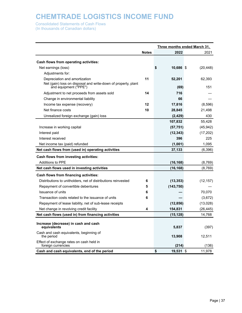Consolidated Statements of Cash Flows

(In thousands of Canadian dollars)

|                                                                                        |              |                 | Three months ended March 31, |
|----------------------------------------------------------------------------------------|--------------|-----------------|------------------------------|
|                                                                                        | <b>Notes</b> | 2022            | 2021                         |
| Cash flows from operating activities:                                                  |              |                 |                              |
| Net earnings (loss)                                                                    |              | 10,686 \$<br>\$ | (20, 448)                    |
| Adjustments for:                                                                       |              |                 |                              |
| Depreciation and amortization                                                          | 11           | 52,201          | 62,393                       |
| Net (gain) loss on disposal and write-down of property, plant<br>and equipment ("PPE") |              | (69)            | 151                          |
| Adjustment to net proceeds from assets sold                                            | 14           | 716             |                              |
| Change in environmental liability                                                      |              | 66              |                              |
| Income tax expense (recovery)                                                          | 12           | 17,816          | (8,596)                      |
| Net finance costs                                                                      | 10           | 28,845          | 21,498                       |
| Unrealized foreign exchange (gain) loss                                                |              | (2, 429)        | 430                          |
|                                                                                        |              | 107,832         | 55,428                       |
| Increase in working capital                                                            |              | (57, 751)       | (45, 942)                    |
| Interest paid                                                                          |              | (12, 343)       | (17, 202)                    |
| Interest received                                                                      |              | 396             | 225                          |
| Net income tax (paid) refunded                                                         |              | (1,001)         | 1,095                        |
| Net cash flows from (used in) operating activities                                     |              | 37,133          | (6, 396)                     |
| Cash flows from investing activities:                                                  |              |                 |                              |
| <b>Additions to PPE</b>                                                                |              | (16, 168)       | (8,769)                      |
| Net cash flows used in investing activities                                            |              | (16, 168)       | (8,769)                      |
| <b>Cash flows from financing activities:</b>                                           |              |                 |                              |
| Distributions to unitholders, net of distributions reinvested                          | 6            | (13, 353)       | (12, 157)                    |
| Repayment of convertible debentures                                                    | 5            | (143, 750)      |                              |
| Issuance of units                                                                      | 6            |                 | 70,070                       |
| Transaction costs related to the issuance of units                                     | 6            |                 | (3,672)                      |
| Repayment of lease liability, net of sub-lease receipts                                |              | (12, 856)       | (13,028)                     |
| Net change in revolving credit facility                                                | 4            | 154,831         | (26, 445)                    |
| Net cash flows (used in) from financing activities                                     |              | (15, 128)       | 14,768                       |
| Increase (decrease) in cash and cash<br>equivalents                                    |              | 5,837           | (397)                        |
| Cash and cash equivalents, beginning of<br>the period                                  |              | 13,908          | 12,511                       |
| Effect of exchange rates on cash held in<br>foreign currencies                         |              | (214)           | (136)                        |
| Cash and cash equivalents, end of the period                                           |              | \$<br>19,531 \$ | 11,978                       |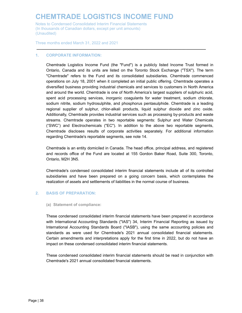Notes to Condensed Consolidated Interim Financial Statements (In thousands of Canadian dollars, except per unit amounts) (Unaudited)

Three months ended March 31, 2022 and 2021

#### **1. CORPORATE INFORMATION:**

Chemtrade Logistics Income Fund (the "Fund") is a publicly listed Income Trust formed in Ontario, Canada and its units are listed on the Toronto Stock Exchange ("TSX"). The term "Chemtrade" refers to the Fund and its consolidated subsidiaries. Chemtrade commenced operations on July 18, 2001 when it completed an initial public offering. Chemtrade operates a diversified business providing industrial chemicals and services to customers in North America and around the world. Chemtrade is one of North America's largest suppliers of sulphuric acid, spent acid processing services, inorganic coagulants for water treatment, sodium chlorate, sodium nitrite, sodium hydrosulphite, and phosphorus pentasulphide. Chemtrade is a leading regional supplier of sulphur, chlor-alkali products, liquid sulphur dioxide and zinc oxide. Additionally, Chemtrade provides industrial services such as processing by-products and waste streams. Chemtrade operates in two reportable segments: Sulphur and Water Chemicals ("SWC") and Electrochemicals ("EC"). In addition to the above two reportable segments, Chemtrade discloses results of corporate activities separately. For additional information regarding Chemtrade's reportable segments, see note 14.

**\_\_\_\_\_\_\_\_\_\_\_\_\_\_\_\_\_\_\_\_\_\_\_\_\_\_\_\_\_\_\_\_\_\_\_\_\_\_\_\_\_\_\_\_\_\_\_\_\_\_\_\_\_\_\_\_\_\_\_\_\_\_\_\_\_\_\_\_\_\_\_\_\_\_\_\_\_**

Chemtrade is an entity domiciled in Canada. The head office, principal address, and registered and records office of the Fund are located at 155 Gordon Baker Road, Suite 300, Toronto, Ontario, M2H 3N5.

Chemtrade's condensed consolidated interim financial statements include all of its controlled subsidiaries and have been prepared on a going concern basis, which contemplates the realization of assets and settlements of liabilities in the normal course of business.

#### **2. BASIS OF PREPARATION:**

#### **(a) Statement of compliance:**

These condensed consolidated interim financial statements have been prepared in accordance with International Accounting Standards ("IAS") 34, Interim Financial Reporting as issued by International Accounting Standards Board ("IASB"), using the same accounting policies and standards as were used for Chemtrade's 2021 annual consolidated financial statements. Certain amendments and interpretations apply for the first time in 2022, but do not have an impact on these condensed consolidated interim financial statements.

These condensed consolidated interim financial statements should be read in conjunction with Chemtrade's 2021 annual consolidated financial statements.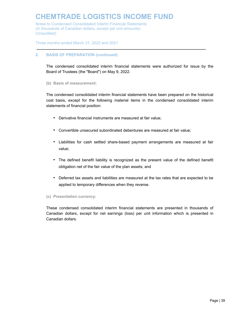Notes to Condensed Consolidated Interim Financial Statements (In thousands of Canadian dollars, except per unit amounts) (Unaudited)

Three months ended March 31, 2022 and 2021

#### **2. BASIS OF PREPARATION (continued):**

The condensed consolidated interim financial statements were authorized for issue by the Board of Trustees (the "Board") on May 9, 2022.

**\_\_\_\_\_\_\_\_\_\_\_\_\_\_\_\_\_\_\_\_\_\_\_\_\_\_\_\_\_\_\_\_\_\_\_\_\_\_\_\_\_\_\_\_\_\_\_\_\_\_\_\_\_\_\_\_\_\_\_\_\_\_\_\_\_\_\_\_\_\_\_\_\_\_\_\_\_**

#### **(b) Basis of measurement:**

The condensed consolidated interim financial statements have been prepared on the historical cost basis, except for the following material items in the condensed consolidated interim statements of financial position:

- Derivative financial instruments are measured at fair value;
- Convertible unsecured subordinated debentures are measured at fair value;
- Liabilities for cash settled share-based payment arrangements are measured at fair value;
- The defined benefit liability is recognized as the present value of the defined benefit obligation net of the fair value of the plan assets; and
- Deferred tax assets and liabilities are measured at the tax rates that are expected to be applied to temporary differences when they reverse.

#### **(c) Presentation currency:**

These condensed consolidated interim financial statements are presented in thousands of Canadian dollars, except for net earnings (loss) per unit information which is presented in Canadian dollars.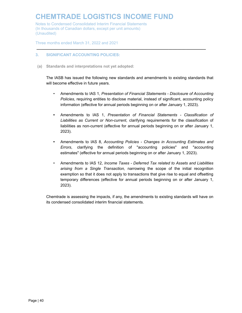Notes to Condensed Consolidated Interim Financial Statements (In thousands of Canadian dollars, except per unit amounts) (Unaudited)

Three months ended March 31, 2022 and 2021

#### **3. SIGNIFICANT ACCOUNTING POLICIES:**

**(a) Standards and interpretations not yet adopted:**

The IASB has issued the following new standards and amendments to existing standards that will become effective in future years.

**\_\_\_\_\_\_\_\_\_\_\_\_\_\_\_\_\_\_\_\_\_\_\_\_\_\_\_\_\_\_\_\_\_\_\_\_\_\_\_\_\_\_\_\_\_\_\_\_\_\_\_\_\_\_\_\_\_\_\_\_\_\_\_\_\_\_\_\_\_\_\_\_\_\_\_\_\_**

- Amendments to IAS 1, *Presentation of Financial Statements Disclosure of Accounting Policies*, requiring entities to disclose material, instead of significant, accounting policy information (effective for annual periods beginning on or after January 1, 2023).
- **•** Amendments to IAS 1, *Presentation of Financial Statements Classification of Liabilities as Current or Non-current*, clarifying requirements for the classification of liabilities as non-current (effective for annual periods beginning on or after January 1, 2023).
- **•** Amendments to IAS 8, *Accounting Policies Changes in Accounting Estimates and Errors*, clarifying the definition of "accounting policies" and "accounting estimates" (effective for annual periods beginning on or after January 1, 2023).
- Amendments to IAS 12, *Income Taxes Deferred Tax related to Assets and Liabilities arising from a Single Transaction,* narrowing the scope of the initial recognition exemption so that it does not apply to transactions that give rise to equal and offsetting temporary differences (effective for annual periods beginning on or after January 1, 2023).

Chemtrade is assessing the impacts, if any, the amendments to existing standards will have on its condensed consolidated interim financial statements.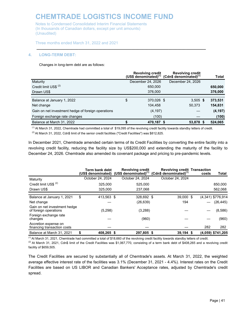Notes to Condensed Consolidated Interim Financial Statements (In thousands of Canadian dollars, except per unit amounts) (Unaudited)

Three months ended March 31, 2022 and 2021

#### **4. LONG-TERM DEBT:**

#### Changes in long-term debt are as follows:

|                                                    |                   | <b>Revolving credit</b> | <b>Revolving credit</b><br>(US\$ denominated) $(1)$ (Cdn\$ denominated) $(1)$ | Total    |
|----------------------------------------------------|-------------------|-------------------------|-------------------------------------------------------------------------------|----------|
| Maturity                                           | December 24, 2026 |                         | December 24, 2026                                                             |          |
| Credit limit US\$ <sup>(2)</sup>                   |                   | 650,000                 |                                                                               | 650,000  |
| Drawn US\$                                         |                   | 376,000                 |                                                                               | 376,000  |
|                                                    |                   |                         |                                                                               |          |
| Balance at January 1, 2022                         | \$                | 370,026 \$              | $3,505$ \$                                                                    | 373,531  |
| Net change                                         |                   | 104,458                 | 50,373                                                                        | 154,831  |
| Gain on net investment hedge of foreign operations |                   | (4, 197)                |                                                                               | (4, 197) |
| Foreign exchange rate changes                      |                   | (100)                   |                                                                               | (100)    |
| Balance at March 31, 2022                          |                   | 470,187 \$              | 53,878 \$                                                                     | 524,065  |

**\_\_\_\_\_\_\_\_\_\_\_\_\_\_\_\_\_\_\_\_\_\_\_\_\_\_\_\_\_\_\_\_\_\_\_\_\_\_\_\_\_\_\_\_\_\_\_\_\_\_\_\_\_\_\_\_\_\_\_\_\_\_\_\_\_\_\_\_\_\_\_\_\_\_\_\_\_**

 $<sup>(1)</sup>$  At March 31, 2022, Chemtrade had committed a total of \$19,095 of the revolving credit facility towards standby letters of credit.</sup>

<sup>(2)</sup> At March 31, 2022, Cdn\$ limit of the senior credit facilities ("Credit Facilities") was \$812,825.

In December 2021, Chemtrade amended certain terms of its Credit Facilities by converting the entire facility into a revolving credit facility, reducing the facility size by US\$200,000 and extending the maturity of the facility to December 24, 2026. Chemtrade also amended its covenant package and pricing to pre-pandemic levels.

|                                                       |    | Term bank debt   | <b>Revolving credit</b><br>(US\$ denominated) (US\$ denominated) $(1)$ | <b>Revolving credit Transaction</b><br>(Cdn\$ denominated) $(1)$ | costs | Total               |
|-------------------------------------------------------|----|------------------|------------------------------------------------------------------------|------------------------------------------------------------------|-------|---------------------|
| Maturity                                              |    | October 24, 2024 | October 24, 2024                                                       | October 24, 2024                                                 |       |                     |
| Credit limit US\$ <sup>(2)</sup>                      |    | 325,000          | 525.000                                                                |                                                                  |       | 850,000             |
| Drawn US\$                                            |    | 325.000          | 237.068                                                                |                                                                  |       | 562,068             |
| Balance at January 1, 2021                            | \$ | 413,563 \$       | 328.692 \$                                                             | 39,000 \$                                                        |       | (4,341) \$776,914   |
| Net change                                            |    |                  | (26,639)                                                               | 194                                                              |       | (26, 445)           |
| Gain on net investment hedge<br>of foreign operations |    | (5,298)          | (3,288)                                                                |                                                                  |       | (8,586)             |
| Foreign exchange rate<br>changes                      |    |                  | (960)                                                                  |                                                                  |       | (960)               |
| Accretion expense on<br>financing transaction costs   |    |                  |                                                                        |                                                                  | 282   | 282                 |
| Balance at March 31, 2021                             | S  | 408.265 \$       | 297,805 \$                                                             | $39,194$ \$                                                      |       | $(4,059)$ \$741,205 |

(1) At March 31, 2021, Chemtrade had committed a total of \$18,660 of the revolving credit facility towards standby letters of credit.

<sup>(2)</sup> At March 31, 2021, Cdn\$ limit of the Credit Facilities was \$1,067,770, consisting of a term bank debt of \$408,265 and a revolving credit facility of \$659,505.

The Credit Facilities are secured by substantially all of Chemtrade's assets. At March 31, 2022, the weighted average effective interest rate of the facilities was 3.1% (December 31, 2021 - 4.4%). Interest rates on the Credit Facilities are based on US LIBOR and Canadian Bankers' Acceptance rates, adjusted by Chemtrade's credit spread.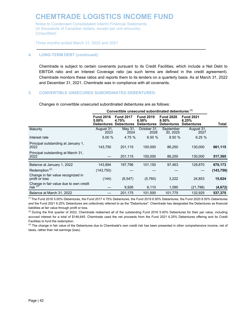Notes to Condensed Consolidated Interim Financial Statements (In thousands of Canadian dollars, except per unit amounts) (Unaudited)

Three months ended March 31, 2022 and 2021

#### **4. LONG-TERM DEBT (continued):**

Chemtrade is subject to certain covenants pursuant to its Credit Facilities, which include a Net Debt to EBITDA ratio and an Interest Coverage ratio (as such terms are defined in the credit agreement). Chemtrade monitors these ratios and reports them to its lenders on a quarterly basis. As at March 31, 2022 and December 31, 2021, Chemtrade was in compliance with all covenants.

**\_\_\_\_\_\_\_\_\_\_\_\_\_\_\_\_\_\_\_\_\_\_\_\_\_\_\_\_\_\_\_\_\_\_\_\_\_\_\_\_\_\_\_\_\_\_\_\_\_\_\_\_\_\_\_\_\_\_\_\_\_\_\_\_\_\_\_\_\_\_\_\_\_\_\_\_\_**

#### **5. CONVERTIBLE UNSECURED SUBORDINATED DEBENTURES:**

Changes in convertible unsecured subordinated debentures are as follows:

|                                                      | Convertible unsecured subordinated debentures (1) |                                                |                                                |                                                |                                                |            |  |  |  |
|------------------------------------------------------|---------------------------------------------------|------------------------------------------------|------------------------------------------------|------------------------------------------------|------------------------------------------------|------------|--|--|--|
|                                                      | <b>Fund 2016</b><br>$5.00\%$<br><b>Debentures</b> | <b>Fund 2017</b><br>4.75%<br><b>Debentures</b> | <b>Fund 2019</b><br>6.50%<br><b>Debentures</b> | <b>Fund 2020</b><br>8.50%<br><b>Debentures</b> | <b>Fund 2021</b><br>6.25%<br><b>Debentures</b> | Total      |  |  |  |
| Maturity                                             | August 31,<br>2023                                | May 31,<br>2024                                | October 31,<br>2026                            | September<br>30, 2025                          | August 31,<br>2027                             |            |  |  |  |
| Interest rate                                        | 5.00 %                                            | 4.75%                                          | 6.50%                                          | 8.50 %                                         | 6.25%                                          |            |  |  |  |
| Principal outstanding at January 1,<br>2022          | 143,750                                           | 201,115                                        | 100,000                                        | 86,250                                         | 130,000                                        | 661,115    |  |  |  |
| Principal outstanding at March 31,<br>2022           |                                                   | 201,115                                        | 100,000                                        | 86,250                                         | 130,000                                        | 517,365    |  |  |  |
| Balance at January 1, 2022                           | 143,894                                           | 197,796                                        | 101,150                                        | 97,463                                         | 129,870                                        | 670,173    |  |  |  |
| Redemption <sup>(2)</sup>                            | (143, 750)                                        |                                                |                                                |                                                |                                                | (143, 750) |  |  |  |
| Change in fair value recognized in<br>profit or loss | (144)                                             | (6, 547)                                       | (5,760)                                        | 3,222                                          | 24,853                                         | 15,624     |  |  |  |
| Change in fair value due to own credit<br>risk $(3)$ |                                                   | 9,926                                          | 6,110                                          | 1,090                                          | (21, 798)                                      | (4,672)    |  |  |  |
| Balance at March 31, 2022                            |                                                   | 201,175                                        | 101,500                                        | 101,775                                        | 132,925                                        | 537,375    |  |  |  |

 $<sup>(1)</sup>$  The Fund 2016 5.00% Debentures, the Fund 2017 4.75% Debentures, the Fund 2019 6.50% Debentures, the Fund 2020 8.50% Debentures</sup> and the Fund 2021 6.25% Debentures are collectively referred to as the "Debentures". Chemtrade has designated the Debentures as financial liabilities at fair value through profit or loss.

 $^{(2)}$  During the first quarter of 2022, Chemtrade redeemed all of the outstanding Fund 2016 5.00% Debentures for their par value, including accrued interest for a total of \$146,645. Chemtrade used the net proceeds from the Fund 2021 6.25% Debentures offering and its Credit Facilities to fund the redemption.

<sup>(3)</sup> The change in fair value of the Debentures due to Chemtrade's own credit risk has been presented in other comprehensive income, net of taxes, rather than net earnings (loss).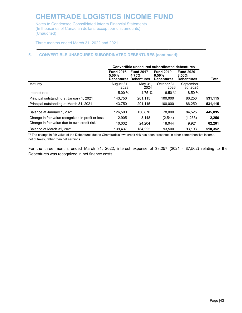Notes to Condensed Consolidated Interim Financial Statements (In thousands of Canadian dollars, except per unit amounts) (Unaudited)

Three months ended March 31, 2022 and 2021

#### **5. CONVERTIBLE UNSECURED SUBORDINATED DEBENTURES (continued):**

|                                                   | Convertible unsecured subordinated debentures |                                                           |                                                |                                                   |         |
|---------------------------------------------------|-----------------------------------------------|-----------------------------------------------------------|------------------------------------------------|---------------------------------------------------|---------|
|                                                   | <b>Fund 2016</b><br>$5.00\%$                  | <b>Fund 2017</b><br>4.75%<br><b>Debentures Debentures</b> | <b>Fund 2019</b><br>6.50%<br><b>Debentures</b> | <b>Fund 2020</b><br>$8.50\%$<br><b>Debentures</b> | Total   |
| Maturity                                          | August 31.<br>2023                            | May 31,<br>2024                                           | October 31.<br>2026                            | September<br>30, 2025                             |         |
| Interest rate                                     | 5.00%                                         | 4.75 %                                                    | 6.50%                                          | 8.50%                                             |         |
| Principal outstanding at January 1, 2021          | 143.750                                       | 201.115                                                   | 100.000                                        | 86.250                                            | 531,115 |
| Principal outstanding at March 31, 2021           | 143.750                                       | 201.115                                                   | 100.000                                        | 86.250                                            | 531,115 |
| Balance at January 1, 2021                        | 126,500                                       | 156.870                                                   | 78,000                                         | 84.525                                            | 445,895 |
| Change in fair value recognized in profit or loss | 2.905                                         | 3.148                                                     | (2,544)                                        | (1,253)                                           | 2,256   |
| Change in fair value due to own credit risk (1)   | 10.032                                        | 24.204                                                    | 18.044                                         | 9,921                                             | 62,201  |
| Balance at March 31, 2021                         | 139.437                                       | 184.222                                                   | 93.500                                         | 93.193                                            | 510.352 |

**\_\_\_\_\_\_\_\_\_\_\_\_\_\_\_\_\_\_\_\_\_\_\_\_\_\_\_\_\_\_\_\_\_\_\_\_\_\_\_\_\_\_\_\_\_\_\_\_\_\_\_\_\_\_\_\_\_\_\_\_\_\_\_\_\_\_\_\_\_\_\_\_\_\_\_\_\_**

<sup>(1)</sup> The change in fair value of the Debentures due to Chemtrade's own credit risk has been presented in other comprehensive income, net of taxes, rather than net earnings.

For the three months ended March 31, 2022, interest expense of \$8,257 (2021 - \$7,562) relating to the Debentures was recognized in net finance costs.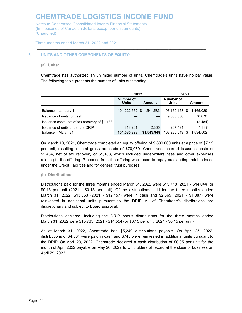Notes to Condensed Consolidated Interim Financial Statements (In thousands of Canadian dollars, except per unit amounts) (Unaudited)

Three months ended March 31, 2022 and 2021

#### **6. UNITS AND OTHER COMPONENTS OF EQUITY:**

**(a) Units:**

Chemtrade has authorized an unlimited number of units. Chemtrade's units have no par value. The following table presents the number of units outstanding:

**\_\_\_\_\_\_\_\_\_\_\_\_\_\_\_\_\_\_\_\_\_\_\_\_\_\_\_\_\_\_\_\_\_\_\_\_\_\_\_\_\_\_\_\_\_\_\_\_\_\_\_\_\_\_\_\_\_\_\_\_\_\_\_\_\_\_\_\_\_\_\_\_\_\_\_\_\_**

|                                                | 2022                      | 2021        |                    |   |           |
|------------------------------------------------|---------------------------|-------------|--------------------|---|-----------|
|                                                | Number of<br><b>Units</b> | Amount      | Number of<br>Units |   | Amount    |
| Balance - January 1                            | 104,222,562 \$ 1,541,583  |             | 93,169,158 \$      |   | 1.465.029 |
| Issuance of units for cash                     |                           |             | 9,800,000          |   | 70.070    |
| Issuance costs, net of tax recovery of \$1,188 |                           |             |                    |   | (2.484)   |
| Issuance of units under the DRIP               | 313,261                   | 2.365       | 267,491            |   | 1,887     |
| Balance - March 31                             | 104,535,823               | \$1,543,948 | 103,236,649        | S | 1,534,502 |

On March 10, 2021, Chemtrade completed an equity offering of 9,800,000 units at a price of \$7.15 per unit, resulting in total gross proceeds of \$70,070. Chemtrade incurred issuance costs of \$2,484, net of tax recovery of \$1,188, which included underwriters' fees and other expenses relating to the offering. Proceeds from the offering were used to repay outstanding indebtedness under the Credit Facilities and for general trust purposes.

#### **(b) Distributions:**

Distributions paid for the three months ended March 31, 2022 were \$15,718 (2021 - \$14,044) or \$0.15 per unit (2021 - \$0.15 per unit). Of the distributions paid for the three months ended March 31, 2022, \$13,353 (2021 - \$12,157) were in cash and \$2,365 (2021 - \$1,887) were reinvested in additional units pursuant to the DRIP. All of Chemtrade's distributions are discretionary and subject to Board approval.

Distributions declared, including the DRIP bonus distributions for the three months ended March 31, 2022 were \$15,735 (2021 - \$14,554) or \$0.15 per unit (2021 - \$0.15 per unit).

As at March 31, 2022, Chemtrade had \$5,249 distributions payable. On April 25, 2022, distributions of \$4,504 were paid in cash and \$745 were reinvested in additional units pursuant to the DRIP. On April 20, 2022, Chemtrade declared a cash distribution of \$0.05 per unit for the month of April 2022 payable on May 26, 2022 to Unitholders of record at the close of business on April 29, 2022.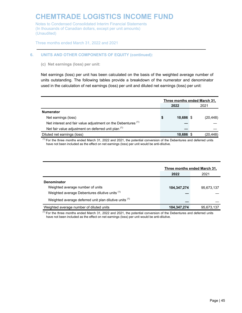Notes to Condensed Consolidated Interim Financial Statements (In thousands of Canadian dollars, except per unit amounts) (Unaudited)

Three months ended March 31, 2022 and 2021

#### **6. UNITS AND OTHER COMPONENTS OF EQUITY (continued):**

**(c) Net earnings (loss) per unit:**

Net earnings (loss) per unit has been calculated on the basis of the weighted average number of units outstanding. The following tables provide a breakdown of the numerator and denominator used in the calculation of net earnings (loss) per unit and diluted net earnings (loss) per unit:

**\_\_\_\_\_\_\_\_\_\_\_\_\_\_\_\_\_\_\_\_\_\_\_\_\_\_\_\_\_\_\_\_\_\_\_\_\_\_\_\_\_\_\_\_\_\_\_\_\_\_\_\_\_\_\_\_\_\_\_\_\_\_\_\_\_\_\_\_\_\_\_\_\_\_\_\_\_**

|                                                                         | Three months ended March 31, |           |  |           |  |
|-------------------------------------------------------------------------|------------------------------|-----------|--|-----------|--|
|                                                                         | 2022                         |           |  | 2021      |  |
| <b>Numerator</b>                                                        |                              |           |  |           |  |
| Net earnings (loss)                                                     | \$                           | 10,686 \$ |  | (20, 448) |  |
| Net interest and fair value adjustment on the Debentures <sup>(1)</sup> |                              |           |  |           |  |
| Net fair value adjustment on deferred unit plan (1)                     |                              |           |  |           |  |
| Diluted net earnings (loss)                                             |                              | 10,686 \$ |  | (20, 448) |  |

 $<sup>(1)</sup>$  For the three months ended March 31, 2022 and 2021, the potential conversion of the Debentures and deferred units</sup> have not been included as the effect on net earnings (loss) per unit would be anti-dilutive.

|                                                        | Three months ended March 31, |            |
|--------------------------------------------------------|------------------------------|------------|
|                                                        | 2022                         | 2021       |
| <b>Denominator</b>                                     |                              |            |
| Weighted average number of units                       | 104,347,274                  | 95.673.137 |
| Weighted average Debentures dilutive units (1)         |                              |            |
| Weighted average deferred unit plan dilutive units (1) |                              |            |
| Weighted average number of diluted units               | 104,347,274                  | 95.673.137 |

 $<sup>(1)</sup>$  For the three months ended March 31, 2022 and 2021, the potential conversion of the Debentures and deferred units</sup> have not been included as the effect on net earnings (loss) per unit would be anti-dilutive.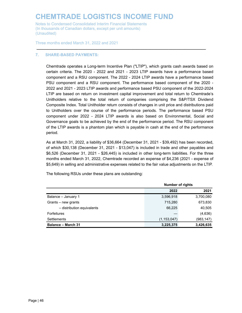Notes to Condensed Consolidated Interim Financial Statements (In thousands of Canadian dollars, except per unit amounts) (Unaudited)

Three months ended March 31, 2022 and 2021

#### **7. SHARE-BASED PAYMENTS:**

Chemtrade operates a Long-term Incentive Plan ("LTIP"), which grants cash awards based on certain criteria. The 2020 - 2022 and 2021 - 2023 LTIP awards have a performance based component and a RSU component. The 2022 - 2024 LTIP awards have a performance based PSU component and a RSU component. The performance based component of the 2020 - 2022 and 2021 - 2023 LTIP awards and performance based PSU component of the 2022-2024 LTIP are based on return on investment capital improvement and total return to Chemtrade's Unitholders relative to the total return of companies comprising the S&P/TSX Dividend Composite Index. Total Unitholder return consists of changes in unit price and distributions paid to Unitholders over the course of the performance periods. The performance based PSU component under 2022 - 2024 LTIP awards is also based on Environmental, Social and Governance goals to be achieved by the end of the performance period. The RSU component of the LTIP awards is a phantom plan which is payable in cash at the end of the performance period.

**\_\_\_\_\_\_\_\_\_\_\_\_\_\_\_\_\_\_\_\_\_\_\_\_\_\_\_\_\_\_\_\_\_\_\_\_\_\_\_\_\_\_\_\_\_\_\_\_\_\_\_\_\_\_\_\_\_\_\_\_\_\_\_\_\_\_\_\_\_\_\_\_\_\_\_\_\_**

As at March 31, 2022, a liability of \$36,664 (December 31, 2021 - \$39,492) has been recorded, of which \$30,138 (December 31, 2021 - \$13,047) is included in trade and other payables and \$6,526 (December 31, 2021 - \$26,445) is included in other long-term liabilities. For the three months ended March 31, 2022, Chemtrade recorded an expense of \$4,236 (2021 - expense of \$5,649) in selling and administrative expenses related to the fair value adjustments on the LTIP.

The following RSUs under these plans are outstanding:

|                            |               | <b>Number of rights</b> |  |  |  |
|----------------------------|---------------|-------------------------|--|--|--|
|                            | 2022          | 2021                    |  |  |  |
| Balance - January 1        | 3,596,918     | 3,700,080               |  |  |  |
| Grants – new grants        | 715,280       | 673,830                 |  |  |  |
| - distribution equivalents | 66,225        | 40,505                  |  |  |  |
| <b>Forfeitures</b>         |               | (4,636)                 |  |  |  |
| Settlements                | (1, 153, 047) | (983, 147)              |  |  |  |
| <b>Balance - March 31</b>  | 3,225,375     | 3,426,635               |  |  |  |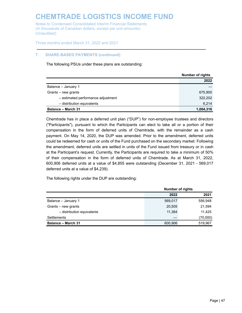Notes to Condensed Consolidated Interim Financial Statements (In thousands of Canadian dollars, except per unit amounts) (Unaudited)

Three months ended March 31, 2022 and 2021

#### **7. SHARE-BASED PAYMENTS (continued):**

The following PSUs under these plans are outstanding:

|                                    | <b>Number of rights</b> |
|------------------------------------|-------------------------|
|                                    | 2022                    |
| Balance - January 1                |                         |
| Grants – new grants                | 675,900                 |
| - estimated performance adjustment | 322.202                 |
| - distribution equivalents         | 6,214                   |
| <b>Balance - March 31</b>          | 1,004,316               |

**\_\_\_\_\_\_\_\_\_\_\_\_\_\_\_\_\_\_\_\_\_\_\_\_\_\_\_\_\_\_\_\_\_\_\_\_\_\_\_\_\_\_\_\_\_\_\_\_\_\_\_\_\_\_\_\_\_\_\_\_\_\_\_\_\_\_\_\_\_\_\_\_\_\_\_\_\_**

Chemtrade has in place a deferred unit plan ("DUP") for non-employee trustees and directors ("Participants"), pursuant to which the Participants can elect to take all or a portion of their compensation in the form of deferred units of Chemtrade, with the remainder as a cash payment. On May 14, 2020, the DUP was amended. Prior to the amendment, deferred units could be redeemed for cash or units of the Fund purchased on the secondary market. Following the amendment, deferred units are settled in units of the Fund issued from treasury or in cash at the Participant's request. Currently, the Participants are required to take a minimum of 50% of their compensation in the form of deferred units of Chemtrade. As at March 31, 2022, 600,906 deferred units at a value of \$4,855 were outstanding (December 31, 2021 - 569,017 deferred units at a value of \$4,239).

The following rights under the DUP are outstanding:

|                            |         | <b>Number of rights</b> |  |  |  |
|----------------------------|---------|-------------------------|--|--|--|
|                            | 2022    | 2021                    |  |  |  |
| Balance - January 1        | 569.017 | 556,948                 |  |  |  |
| Grants – new grants        | 20,505  | 21,594                  |  |  |  |
| - distribution equivalents | 11.384  | 11.425                  |  |  |  |
| Settlements                |         | (70,000)                |  |  |  |
| <b>Balance - March 31</b>  | 600.906 | 519.967                 |  |  |  |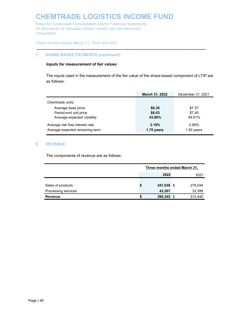Notes to Condensed Consolidated Interim Financial Statements (In thousands of Canadian dollars, except per unit amounts) (Unaudited)

Three months ended March 31, 2022 and 2021

#### **7. SHARE-BASED PAYMENTS (continued):**

#### *Inputs for measurement of fair values*

The inputs used in the measurement of the fair value of the share-based component of LTIP are as follows:

**\_\_\_\_\_\_\_\_\_\_\_\_\_\_\_\_\_\_\_\_\_\_\_\_\_\_\_\_\_\_\_\_\_\_\_\_\_\_\_\_\_\_\_\_\_\_\_\_\_\_\_\_\_\_\_\_\_\_\_\_\_\_\_\_\_\_\_\_\_\_\_\_\_\_\_\_\_**

|                                 | March 31, 2022 | December 31, 2021 |
|---------------------------------|----------------|-------------------|
| Chemtrade units:                |                |                   |
| Average base price              | \$6.35         | \$7.37            |
| Period-end unit price           | \$8.03         | \$7.40            |
| Average expected volatility     | 43.80%         | 48.61%            |
| Average risk free interest rate | 2.19%          | 0.89%             |
| Average expected remaining term | 1.75 years     | $1.50$ years      |

#### **8. REVENUE:**

The components of revenue are as follows:

|                     | Three months ended March 31, |            |  |         |
|---------------------|------------------------------|------------|--|---------|
|                     |                              | 2022       |  | 2021    |
|                     |                              |            |  |         |
| Sales of products   | S                            | 347,038 \$ |  | 279,044 |
| Processing services |                              | 43,307     |  | 33,396  |
| <b>Revenue</b>      |                              | 390,345    |  | 312,440 |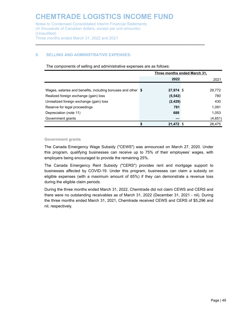#### **9. SELLING AND ADMINISTRATIVE EXPENSES:**

The components of selling and administrative expenses are as follows:

**\_\_\_\_\_\_\_\_\_\_\_\_\_\_\_\_\_\_\_\_\_\_\_\_\_\_\_\_\_\_\_\_\_\_\_\_\_\_\_\_\_\_\_\_\_\_\_\_\_\_\_\_\_\_\_\_\_\_\_\_\_\_\_\_\_\_\_\_\_\_\_\_\_\_\_\_\_**

|                                                              | Three months ended March 31, |         |
|--------------------------------------------------------------|------------------------------|---------|
|                                                              | 2022                         | 2021    |
|                                                              |                              |         |
| Wages, salaries and benefits, including bonuses and other \$ | 27,974 \$                    | 29,772  |
| Realized foreign exchange (gain) loss                        | (5, 542)                     | 780     |
| Unrealized foreign exchange (gain) loss                      | (2, 429)                     | 430     |
| Reserve for legal proceedings                                | 781                          | 1,091   |
| Depreciation (note 11)                                       | 688                          | 1,053   |
| Government grants                                            |                              | (4,651) |
|                                                              | 21,472 \$                    | 28.475  |

#### **Government grants**

The Canada Emergency Wage Subsidy ("CEWS") was announced on March 27, 2020. Under this program, qualifying businesses can receive up to 75% of their employees' wages, with employers being encouraged to provide the remaining 25%.

The Canada Emergency Rent Subsidy ("CERS") provides rent and mortgage support to businesses affected by COVID-19. Under this program, businesses can claim a subsidy on eligible expenses (with a maximum amount of 65%) if they can demonstrate a revenue loss during the eligible claim periods.

During the three months ended March 31, 2022, Chemtrade did not claim CEWS and CERS and there were no outstanding receivables as of March 31, 2022 (December 31, 2021 - nil). During the three months ended March 31, 2021, Chemtrade received CEWS and CERS of \$5,296 and nil, respectively.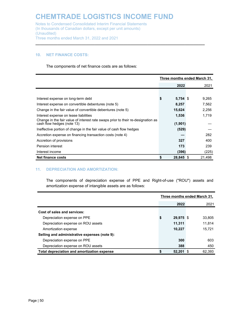#### **10. NET FINANCE COSTS:**

The components of net finance costs are as follows:

|                                                                                                                | Three months ended March 31, |        |  |  |
|----------------------------------------------------------------------------------------------------------------|------------------------------|--------|--|--|
|                                                                                                                | 2022                         | 2021   |  |  |
|                                                                                                                |                              |        |  |  |
| Interest expense on long-term debt                                                                             | \$<br>$5,754$ \$             | 9,265  |  |  |
| Interest expense on convertible debentures (note 5)                                                            | 8,257                        | 7,562  |  |  |
| Change in the fair value of convertible debentures (note 5)                                                    | 15,624                       | 2,256  |  |  |
| Interest expense on lease liabilities                                                                          | 1,536                        | 1,719  |  |  |
| Change in the fair value of interest rate swaps prior to their re-designation as<br>cash flow hedges (note 13) | (1,901)                      |        |  |  |
| Ineffective portion of change in the fair value of cash flow hedges                                            | (529)                        |        |  |  |
| Accretion expense on financing transaction costs (note 4)                                                      |                              | 282    |  |  |
| Accretion of provisions                                                                                        | 327                          | 400    |  |  |
| Pension interest                                                                                               | 173                          | 239    |  |  |
| Interest income                                                                                                | (396)                        | (225)  |  |  |
| Net finance costs                                                                                              | 28,845 \$                    | 21,498 |  |  |

**\_\_\_\_\_\_\_\_\_\_\_\_\_\_\_\_\_\_\_\_\_\_\_\_\_\_\_\_\_\_\_\_\_\_\_\_\_\_\_\_\_\_\_\_\_\_\_\_\_\_\_\_\_\_\_\_\_\_\_\_\_\_\_\_\_\_\_\_\_\_\_\_\_\_\_\_\_**

#### **11. DEPRECIATION AND AMORTIZATION:**

The components of depreciation expense of PPE and Right-of-use ("ROU") assets and amortization expense of intangible assets are as follows:

|                                               | Three months ended March 31, |           |  |        |
|-----------------------------------------------|------------------------------|-----------|--|--------|
|                                               |                              | 2022      |  | 2021   |
| Cost of sales and services:                   |                              |           |  |        |
| Depreciation expense on PPE                   | \$                           | 29,975 \$ |  | 33.805 |
| Depreciation expense on ROU assets            |                              | 11.311    |  | 11.814 |
| Amortization expense                          |                              | 10.227    |  | 15.721 |
| Selling and administrative expenses (note 9): |                              |           |  |        |
| Depreciation expense on PPE                   |                              | 300       |  | 603    |
| Depreciation expense on ROU assets            |                              | 388       |  | 450    |
| Total depreciation and amortization expense   | \$                           | 52.201 \$ |  | 62.393 |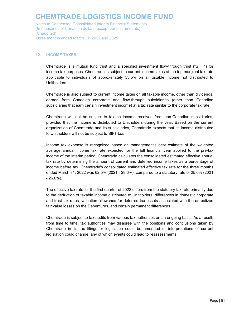#### **12. INCOME TAXES:**

Chemtrade is a mutual fund trust and a specified investment flow-through trust ("SIFT") for income tax purposes. Chemtrade is subject to current income taxes at the top marginal tax rate applicable to individuals of approximately 53.5% on all taxable income not distributed to **Unitholders** 

**\_\_\_\_\_\_\_\_\_\_\_\_\_\_\_\_\_\_\_\_\_\_\_\_\_\_\_\_\_\_\_\_\_\_\_\_\_\_\_\_\_\_\_\_\_\_\_\_\_\_\_\_\_\_\_\_\_\_\_\_\_\_\_\_\_\_\_\_\_\_\_\_\_\_\_\_\_**

Chemtrade is also subject to current income taxes on all taxable income, other than dividends, earned from Canadian corporate and flow-through subsidiaries (other than Canadian subsidiaries that earn certain investment income) at a tax rate similar to the corporate tax rate.

Chemtrade will not be subject to tax on income received from non-Canadian subsidiaries, provided that the income is distributed to Unitholders during the year. Based on the current organization of Chemtrade and its subsidiaries, Chemtrade expects that its income distributed to Unitholders will not be subject to SIFT tax.

Income tax expense is recognized based on management's best estimate of the weighted average annual income tax rate expected for the full financial year applied to the pre-tax income of the interim period. Chemtrade calculates the consolidated estimated effective annual tax rate by determining the amount of current and deferred income taxes as a percentage of income before tax. Chemtrade's consolidated estimated effective tax rate for the three months ended March 31, 2022 was 62.5% (2021 - 29.6%), compared to a statutory rate of 25.6% (2021 - 26.0%).

The effective tax rate for the first quarter of 2022 differs from the statutory tax rate primarily due to the deduction of taxable income distributed to Unitholders, differences in domestic corporate and trust tax rates, valuation allowance for deferred tax assets associated with the unrealized fair value losses on the Debentures, and certain permanent differences.

Chemtrade is subject to tax audits from various tax authorities on an ongoing basis. As a result, from time to time, tax authorities may disagree with the positions and conclusions taken by Chemtrade in its tax filings or legislation could be amended or interpretations of current legislation could change, any of which events could lead to reassessments.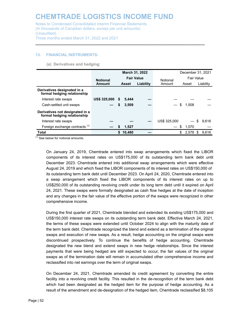#### **13. FINANCIAL INSTRUMENTS:**

**(a) Derivatives and hedging:**

|                                                                |                     |                                         |        | March 31, 2022 |              |    | December 31, 2021 |    |        |  |       |
|----------------------------------------------------------------|---------------------|-----------------------------------------|--------|----------------|--------------|----|-------------------|----|--------|--|-------|
|                                                                | <b>Notional</b>     | <b>Fair Value</b><br>Liability<br>Asset |        | Notional       |              |    | Fair Value        |    |        |  |       |
|                                                                | Amount              |                                         |        |                |              |    |                   |    | Amount |  | Asset |
| Derivatives designated in a<br>formal hedging relationship     |                     |                                         |        |                |              |    |                   |    |        |  |       |
| Interest rate swaps                                            | <b>US\$ 325,000</b> | S                                       | 5,444  |                |              |    |                   |    |        |  |       |
| Cash-settled unit swaps                                        |                     | \$                                      | 3,509  |                |              | \$ | 1.508             |    |        |  |       |
| Derivatives not designated in a<br>formal hedging relationship |                     |                                         |        |                |              |    |                   |    |        |  |       |
| Interest rate swaps                                            |                     |                                         |        |                | US\$ 325,000 |    |                   | \$ | 9,616  |  |       |
| Foreign exchange contracts <sup>(1)</sup>                      |                     | S                                       | 1.527  |                |              | S  | 1.070             |    |        |  |       |
| <b>Total</b>                                                   |                     | S.                                      | 10,480 |                |              |    | 2.578             | S  | 9.616  |  |       |

**\_\_\_\_\_\_\_\_\_\_\_\_\_\_\_\_\_\_\_\_\_\_\_\_\_\_\_\_\_\_\_\_\_\_\_\_\_\_\_\_\_\_\_\_\_\_\_\_\_\_\_\_\_\_\_\_\_\_\_\_\_\_\_\_\_\_\_\_\_\_\_\_\_\_\_\_\_**

 $(1)$  See below for notional amounts.

On January 24, 2019, Chemtrade entered into swap arrangements which fixed the LIBOR components of its interest rates on US\$175,000 of its outstanding term bank debt until December 2023. Chemtrade entered into additional swap arrangements which were effective August 24, 2019 and which fixed the LIBOR components of its interest rates on US\$150,000 of its outstanding term bank debt until December 2023. On April 24, 2020, Chemtrade entered into a swap arrangement which fixed the LIBOR components of its interest rates on up to US\$250,000 of its outstanding revolving credit under its long term debt until it expired on April 24, 2021. These swaps were formally designated as cash flow hedges at the date of inception and any changes in the fair value of the effective portion of the swaps were recognized in other comprehensive income.

During the first quarter of 2021, Chemtrade blended and extended its existing US\$175,000 and US\$150,000 interest rate swaps on its outstanding term bank debt. Effective March 24, 2021, the terms of these swaps were extended until October 2024 to align with the maturity date of the term bank debt. Chemtrade recognized the blend and extend as a termination of the original swaps and execution of new swaps. As a result, hedge accounting on the original swaps were discontinued prospectively. To continue the benefits of hedge accounting, Chemtrade designated the new blend and extend swaps in new hedge relationships. Since the interest payments that were being hedged are still expected to occur, the fair values of the original swaps as of the termination date will remain in accumulated other comprehensive income and reclassified into net earnings over the term of original swaps.

On December 24, 2021, Chemtrade amended its credit agreement by converting the entire facility into a revolving credit facility. This resulted in the de-recognition of the term bank debt which had been designated as the hedged item for the purpose of hedge accounting. As a result of the amendment and de-designation of the hedged item, Chemtrade reclassified \$8,105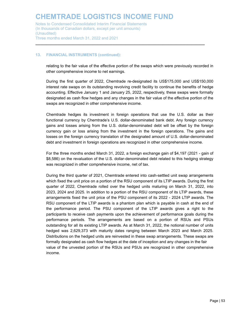Notes to Condensed Consolidated Interim Financial Statements (In thousands of Canadian dollars, except per unit amounts) (Unaudited) Three months ended March 31, 2022 and 2021

#### **13. FINANCIAL INSTRUMENTS (continued):**

relating to the fair value of the effective portion of the swaps which were previously recorded in other comprehensive income to net earnings.

**\_\_\_\_\_\_\_\_\_\_\_\_\_\_\_\_\_\_\_\_\_\_\_\_\_\_\_\_\_\_\_\_\_\_\_\_\_\_\_\_\_\_\_\_\_\_\_\_\_\_\_\_\_\_\_\_\_\_\_\_\_\_\_\_\_\_\_\_\_\_\_\_\_\_\_\_\_**

During the first quarter of 2022, Chemtrade re-designated its US\$175,000 and US\$150,000 interest rate swaps on its outstanding revolving credit facility to continue the benefits of hedge accounting. Effective January 1 and January 25, 2022, respectively, these swaps were formally designated as cash flow hedges and any changes in the fair value of the effective portion of the swaps are recognized in other comprehensive income.

Chemtrade hedges its investment in foreign operations that use the U.S. dollar as their functional currency by Chemtrade's U.S. dollar-denominated bank debt. Any foreign currency gains and losses arising from the U.S. dollar-denominated debt will be offset by the foreign currency gain or loss arising from the investment in the foreign operations. The gains and losses on the foreign currency translation of the designated amount of U.S. dollar-denominated debt and investment in foreign operations are recognized in other comprehensive income.

For the three months ended March 31, 2022, a foreign exchange gain of \$4,197 (2021 - gain of \$8,586) on the revaluation of the U.S. dollar-denominated debt related to this hedging strategy was recognized in other comprehensive income, net of tax.

During the third quarter of 2021, Chemtrade entered into cash-settled unit swap arrangements which fixed the unit price on a portion of the RSU component of its LTIP awards. During the first quarter of 2022, Chemtrade rolled over the hedged units maturing on March 31, 2022, into 2023, 2024 and 2025. In addition to a portion of the RSU component of its LTIP awards, these arrangements fixed the unit price of the PSU component of its 2022 - 2024 LTIP awards. The RSU component of the LTIP awards is a phantom plan which is payable in cash at the end of the performance period. The PSU component of the LTIP awards gives a right to the participants to receive cash payments upon the achievement of performance goals during the performance periods. The arrangements are based on a portion of RSUs and PSUs outstanding for all its existing LTIP awards. As at March 31, 2022, the notional number of units hedged was 2,629,373 with maturity dates ranging between March 2023 and March 2025. Distributions on the hedged units are reinvested in these swap arrangements. These swaps are formally designated as cash flow hedges at the date of inception and any changes in the fair value of the unvested portion of the RSUs and PSUs are recognized in other comprehensive income.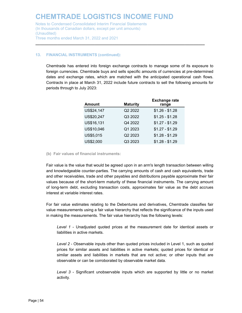#### **13. FINANCIAL INSTRUMENTS (continued):**

Chemtrade has entered into foreign exchange contracts to manage some of its exposure to foreign currencies. Chemtrade buys and sells specific amounts of currencies at pre-determined dates and exchange rates, which are matched with the anticipated operational cash flows. Contracts in place at March 31, 2022 include future contracts to sell the following amounts for periods through to July 2023:

**\_\_\_\_\_\_\_\_\_\_\_\_\_\_\_\_\_\_\_\_\_\_\_\_\_\_\_\_\_\_\_\_\_\_\_\_\_\_\_\_\_\_\_\_\_\_\_\_\_\_\_\_\_\_\_\_\_\_\_\_\_\_\_\_\_\_\_\_\_\_\_\_\_\_\_\_\_**

| <b>Amount</b> | <b>Maturity</b> | <b>Exchange rate</b><br>range |
|---------------|-----------------|-------------------------------|
| US\$24,147    | Q2 2022         | $$1.26 - $1.28$               |
| US\$20,247    | Q3 2022         | $$1.25 - $1.28$               |
| US\$16,131    | Q4 2022         | $$1.27 - $1.29$               |
| US\$10,046    | Q1 2023         | $$1.27 - $1.29$               |
| US\$5,015     | Q2 2023         | $$1.28 - $1.29$               |
| US\$2,000     | Q3 2023         | $$1.28 - $1.29$               |

**(b) Fair values of financial instruments:**

Fair value is the value that would be agreed upon in an arm's length transaction between willing and knowledgeable counter-parties. The carrying amounts of cash and cash equivalents, trade and other receivables, trade and other payables and distributions payable approximate their fair values because of the short-term maturity of these financial instruments. The carrying amount of long-term debt, excluding transaction costs, approximates fair value as the debt accrues interest at variable interest rates.

For fair value estimates relating to the Debentures and derivatives, Chemtrade classifies fair value measurements using a fair value hierarchy that reflects the significance of the inputs used in making the measurements. The fair value hierarchy has the following levels:

*Level 1* - Unadjusted quoted prices at the measurement date for identical assets or liabilities in active markets.

*Level 2* - Observable inputs other than quoted prices included in Level 1, such as quoted prices for similar assets and liabilities in active markets; quoted prices for identical or similar assets and liabilities in markets that are not active; or other inputs that are observable or can be corroborated by observable market data.

*Level 3* - Significant unobservable inputs which are supported by little or no market activity.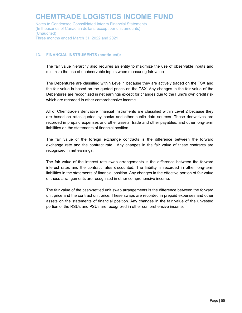#### **13. FINANCIAL INSTRUMENTS (continued):**

The fair value hierarchy also requires an entity to maximize the use of observable inputs and minimize the use of unobservable inputs when measuring fair value.

**\_\_\_\_\_\_\_\_\_\_\_\_\_\_\_\_\_\_\_\_\_\_\_\_\_\_\_\_\_\_\_\_\_\_\_\_\_\_\_\_\_\_\_\_\_\_\_\_\_\_\_\_\_\_\_\_\_\_\_\_\_\_\_\_\_\_\_\_\_\_\_\_\_\_\_\_\_**

The Debentures are classified within Level 1 because they are actively traded on the TSX and the fair value is based on the quoted prices on the TSX. Any changes in the fair value of the Debentures are recognized in net earnings except for changes due to the Fund's own credit risk which are recorded in other comprehensive income.

All of Chemtrade's derivative financial instruments are classified within Level 2 because they are based on rates quoted by banks and other public data sources. These derivatives are recorded in prepaid expenses and other assets, trade and other payables, and other long-term liabilities on the statements of financial position.

The fair value of the foreign exchange contracts is the difference between the forward exchange rate and the contract rate. Any changes in the fair value of these contracts are recognized in net earnings.

The fair value of the interest rate swap arrangements is the difference between the forward interest rates and the contract rates discounted. The liability is recorded in other long-term liabilities in the statements of financial position. Any changes in the effective portion of fair value of these arrangements are recognized in other comprehensive income.

The fair value of the cash-settled unit swap arrangements is the difference between the forward unit price and the contract unit price. These swaps are recorded in prepaid expenses and other assets on the statements of financial position. Any changes in the fair value of the unvested portion of the RSUs and PSUs are recognized in other comprehensive income.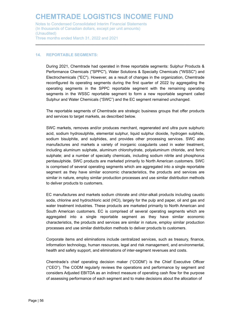Notes to Condensed Consolidated Interim Financial Statements (In thousands of Canadian dollars, except per unit amounts) (Unaudited) Three months ended March 31, 2022 and 2021

#### **14. REPORTABLE SEGMENTS:**

During 2021, Chemtrade had operated in three reportable segments: Sulphur Products & Performance Chemicals ("SPPC"), Water Solutions & Specialty Chemicals ("WSSC") and Electrochemicals ("EC"). However, as a result of changes in the organization, Chemtrade reconfigured its operating segments during the first quarter of 2022 by aggregating the operating segments in the SPPC reportable segment with the remaining operating segments in the WSSC reportable segment to form a new reportable segment called Sulphur and Water Chemicals ("SWC") and the EC segment remained unchanged.

**\_\_\_\_\_\_\_\_\_\_\_\_\_\_\_\_\_\_\_\_\_\_\_\_\_\_\_\_\_\_\_\_\_\_\_\_\_\_\_\_\_\_\_\_\_\_\_\_\_\_\_\_\_\_\_\_\_\_\_\_\_\_\_\_\_\_\_\_\_\_\_\_\_\_\_\_\_**

The reportable segments of Chemtrade are strategic business groups that offer products and services to target markets, as described below.

SWC markets, removes and/or produces merchant, regenerated and ultra pure sulphuric acid, sodium hydrosulphite, elemental sulphur, liquid sulphur dioxide, hydrogen sulphide, sodium bisulphite, and sulphides, and provides other processing services. SWC also manufactures and markets a variety of inorganic coagulants used in water treatment, including aluminum sulphate, aluminum chlorohydrate, polyaluminum chloride, and ferric sulphate; and a number of specialty chemicals, including sodium nitrite and phosphorus pentasulphide. SWC products are marketed primarily to North American customers. SWC is comprised of several operating segments which are aggregated into a single reportable segment as they have similar economic characteristics, the products and services are similar in nature, employ similar production processes and use similar distribution methods to deliver products to customers.

EC manufactures and markets sodium chlorate and chlor-alkali products including caustic soda, chlorine and hydrochloric acid (HCl), largely for the pulp and paper, oil and gas and water treatment industries. These products are marketed primarily to North American and South American customers. EC is comprised of several operating segments which are aggregated into a single reportable segment as they have similar economic characteristics, the products and services are similar in nature, employ similar production processes and use similar distribution methods to deliver products to customers.

Corporate items and eliminations include centralized services, such as treasury, finance, information technology, human resources, legal and risk management, and environmental, health and safety support, and eliminations of inter-segment revenues and costs.

Chemtrade's chief operating decision maker ("CODM") is the Chief Executive Officer ("CEO"). The CODM regularly reviews the operations and performance by segment and considers Adjusted EBITDA as an indirect measure of operating cash flow for the purpose of assessing performance of each segment and to make decisions about the allocation of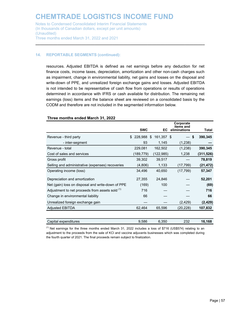Notes to Condensed Consolidated Interim Financial Statements (In thousands of Canadian dollars, except per unit amounts) (Unaudited) Three months ended March 31, 2022 and 2021

#### **14. REPORTABLE SEGMENTS (continued):**

resources. Adjusted EBITDA is defined as net earnings before any deduction for net finance costs, income taxes, depreciation, amortization and other non-cash charges such as impairment, change in environmental liability, net gains and losses on the disposal and write-down of PPE, and unrealized foreign exchange gains and losses. Adjusted EBITDA is not intended to be representative of cash flow from operations or results of operations determined in accordance with IFRS or cash available for distribution. The remaining net earnings (loss) items and the balance sheet are reviewed on a consolidated basis by the CODM and therefore are not included in the segmented information below.

**\_\_\_\_\_\_\_\_\_\_\_\_\_\_\_\_\_\_\_\_\_\_\_\_\_\_\_\_\_\_\_\_\_\_\_\_\_\_\_\_\_\_\_\_\_\_\_\_\_\_\_\_\_\_\_\_\_\_\_\_\_\_\_\_\_\_\_\_\_\_\_\_\_\_\_\_\_**

|                                                   |    | <b>SWC</b> | EC         | Corporate<br>items and<br>eliminations | Total      |
|---------------------------------------------------|----|------------|------------|----------------------------------------|------------|
|                                                   |    |            |            |                                        |            |
| Revenue - third party                             | £. | 228,988 \$ | 161.357 \$ | \$                                     | 390,345    |
| - inter-segment                                   |    | 93         | 1,145      | (1,238)                                |            |
| Revenue - total                                   |    | 229,081    | 162,502    | (1,238)                                | 390,345    |
| Cost of sales and services                        |    | (189,779)  | (122, 985) | 1,238                                  | (311, 526) |
| Gross profit                                      |    | 39,302     | 39,517     |                                        | 78,819     |
| Selling and administrative (expenses) recoveries  |    | (4,806)    | 1,133      | (17, 799)                              | (21,472)   |
| Operating income (loss)                           |    | 34,496     | 40,650     | (17, 799)                              | 57,347     |
| Depreciation and amortization                     |    | 27,355     | 24,846     |                                        | 52,201     |
| Net (gain) loss on disposal and write-down of PPE |    | (169)      | 100        |                                        | (69)       |
| Adjustment to net proceeds from assets sold (1)   |    | 716        |            |                                        | 716        |
| Change in environmental liability                 |    | 66         |            |                                        | 66         |
| Unrealized foreign exchange gain                  |    |            |            | (2, 429)                               | (2, 429)   |
| <b>Adjusted EBITDA</b>                            |    | 62,464     | 65,596     | (20,228)                               | 107,832    |
|                                                   |    |            |            |                                        |            |

#### **Three months ended March 31, 2022**

 $<sup>(1)</sup>$  Net earnings for the three months ended March 31, 2022 includes a loss of \$716 (US\$574) relating to an</sup> adjustment to the proceeds from the sale of KCl and vaccine adjuvants businesses which was completed during the fourth quarter of 2021. The final proceeds remain subject to finalization.

Capital expenditures 9,586 6,350 232 **16,168**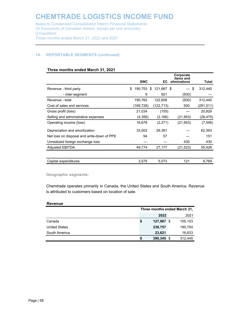**\_\_\_\_\_\_\_\_\_\_\_\_\_\_\_\_\_\_\_\_\_\_\_\_\_\_\_\_\_\_\_\_\_\_\_\_\_\_\_\_\_\_\_\_\_\_\_\_\_\_\_\_\_\_\_\_\_\_\_\_\_\_\_\_\_\_\_\_\_\_\_\_\_\_\_\_\_**

Notes to Condensed Consolidated Interim Financial Statements (In thousands of Canadian dollars, except per unit amounts) (Unaudited) Three months ended March 31, 2022 and 2021

#### **14. REPORTABLE SEGMENTS (continued):**

|                                            |               |                  | Corporate<br><b>items</b> and |           |
|--------------------------------------------|---------------|------------------|-------------------------------|-----------|
|                                            | <b>SWC</b>    | EC.              | eliminations                  | Total     |
| Revenue - third party                      | \$<br>190,753 | 121,687 \$<br>S. | \$                            | 312,440   |
| - inter-segment                            | 9             | 921              | (930)                         |           |
| Revenue - total                            | 190,762       | 122,608          | (930)                         | 312,440   |
| Cost of sales and services                 | (169,728)     | (122,713)        | 930                           | (291,511) |
| Gross profit (loss)                        | 21,034        | (105)            |                               | 20,929    |
| Selling and administrative expenses        | (4,356)       | (2, 166)         | (21,953)                      | (28,475)  |
| Operating income (loss)                    | 16,678        | (2,271)          | (21, 953)                     | (7, 546)  |
| Depreciation and amortization              | 33,002        | 29.391           |                               | 62.393    |
| Net loss on disposal and write-down of PPE | 94            | 57               |                               | 151       |
| Unrealized foreign exchange loss           |               |                  | 430                           | 430       |
| <b>Adjusted EBITDA</b>                     | 49,774        | 27,177           | (21, 523)                     | 55,428    |
|                                            |               |                  |                               |           |
| Capital expenditures                       | 3,575         | 5,073            | 121                           | 8,769     |

#### **Three months ended March 31, 2021**

**Geographic segments:**

Chemtrade operates primarily in Canada, the United States and South America. Revenue is attributed to customers based on location of sale.

#### **Revenue**

|                      | Three months ended March 31, |              |  |         |
|----------------------|------------------------------|--------------|--|---------|
|                      |                              | 2022         |  | 2021    |
| Canada               | \$                           | 127,967 \$   |  | 105,103 |
| <b>United States</b> |                              | 238,757      |  | 190,704 |
| South America        |                              | 23,621       |  | 16,633  |
|                      | S                            | $390,345$ \$ |  | 312,440 |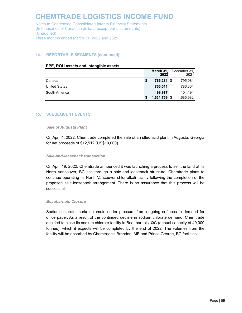Notes to Condensed Consolidated Interim Financial Statements (In thousands of Canadian dollars, except per unit amounts) (Unaudited) Three months ended March 31, 2022 and 2021

#### **14. REPORTABLE SEGMENTS (continued):**

| PPE, ROU assets and intangible assets |  |
|---------------------------------------|--|
|---------------------------------------|--|

|                      |    | March 31,<br>2022 |      | December 31,<br>2021 |
|----------------------|----|-------------------|------|----------------------|
| Canada               | \$ | 765,281           | - \$ | 795,084              |
| <b>United States</b> |    | 766,511           |      | 786,304              |
| South America        |    | 99.977            |      | 104.194              |
|                      | S  | 1,631,769         | 8    | 1,685,582            |

**\_\_\_\_\_\_\_\_\_\_\_\_\_\_\_\_\_\_\_\_\_\_\_\_\_\_\_\_\_\_\_\_\_\_\_\_\_\_\_\_\_\_\_\_\_\_\_\_\_\_\_\_\_\_\_\_\_\_\_\_\_\_\_\_\_\_\_\_\_\_\_\_\_\_\_\_\_**

#### **15. SUBSEQUENT EVENTS:**

#### *Sale of Augusta Plant*

On April 4, 2022, Chemtrade completed the sale of an idled acid plant in Augusta, Georgia for net proceeds of \$12,512 (US\$10,000).

#### *Sale-and-leaseback transaction*

On April 19, 2022, Chemtrade announced it was launching a process to sell the land at its North Vancouver, BC site through a sale-and-leaseback structure. Chemtrade plans to continue operating its North Vancouver chlor-alkali facility following the completion of the proposed sale-leaseback arrangement. There is no assurance that this process will be successful.

#### *Beauharnois Closure*

Sodium chlorate markets remain under pressure from ongoing softness in demand for office paper. As a result of the continued decline in sodium chlorate demand, Chemtrade decided to close its sodium chlorate facility in Beauharnois, QC (annual capacity of 40,000 tonnes), which it expects will be completed by the end of 2022. The volumes from the facility will be absorbed by Chemtrade's Brandon, MB and Prince George, BC facilities.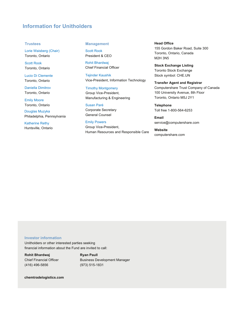#### **Information for Unitholders**

#### **Trustees**

Lorie Waisberg (Chair) Toronto, Ontario

Scott Rook Toronto, Ontario

Lucio Di Clemente Toronto, Ontario

Daniella Dimitrov Toronto, Ontario

**Emily Moore** Toronto, Ontario

Douglas Muzyka Philadelphia, Pennsylvania

Katherine Rethy Huntsville, Ontario

#### **Management**

Scott Rook President & CEO

Rohit Bhardwaj Chief Financial Officer

**Tejinder Kaushik** Vice-President, Information Technology

Timothy Montgomery Group Vice-President, Manufacturing & Engineering

Susan Paré Corporate Secretary General Counsel

**Emily Powers** Group Vice-President, Human Resources and Responsible Care

**Head Office** 155 Gordon Baker Road, Suite 300 Toronto, Ontario, Canada M2H 3N5

**Stock Exchange Listing** Toronto Stock Exchange Stock symbol: CHE.UN

 **Transfer Agent and Registrar** Computershare Trust Company of Canada 100 University Avenue, 8th Floor Toronto, Ontario M5J 2Y1

**Telephone** Toll free 1-800-564-6253

**Email** service@computershare.com

**Website** computershare.com

#### **Investor information**

Unitholders or other interested parties seeking financial information about the Fund are invited to call:

**Rohit Bhardwaj Chief Financial Officer** 416) 496-5856

**Ryan Paull**  Business Development Manager (973) 515-1831

 $chemtradelogistics.com$